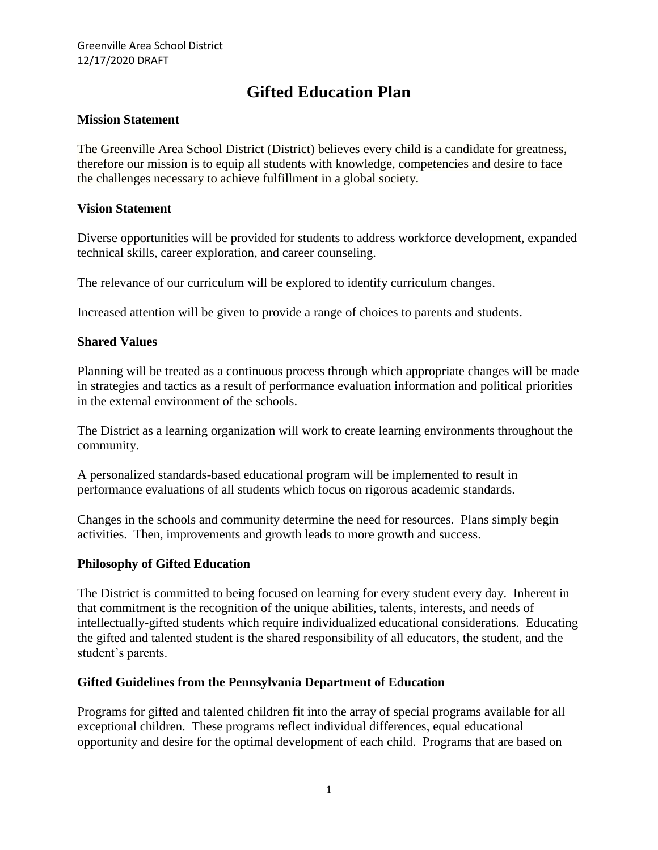# **Gifted Education Plan**

### **Mission Statement**

The Greenville Area School District (District) believes every child is a candidate for greatness, therefore our mission is to equip all students with knowledge, competencies and desire to face the challenges necessary to achieve fulfillment in a global society.

### **Vision Statement**

Diverse opportunities will be provided for students to address workforce development, expanded technical skills, career exploration, and career counseling.

The relevance of our curriculum will be explored to identify curriculum changes.

Increased attention will be given to provide a range of choices to parents and students.

### **Shared Values**

Planning will be treated as a continuous process through which appropriate changes will be made in strategies and tactics as a result of performance evaluation information and political priorities in the external environment of the schools.

The District as a learning organization will work to create learning environments throughout the community.

A personalized standards-based educational program will be implemented to result in performance evaluations of all students which focus on rigorous academic standards.

Changes in the schools and community determine the need for resources. Plans simply begin activities. Then, improvements and growth leads to more growth and success.

#### **Philosophy of Gifted Education**

The District is committed to being focused on learning for every student every day. Inherent in that commitment is the recognition of the unique abilities, talents, interests, and needs of intellectually-gifted students which require individualized educational considerations. Educating the gifted and talented student is the shared responsibility of all educators, the student, and the student's parents.

### **Gifted Guidelines from the Pennsylvania Department of Education**

Programs for gifted and talented children fit into the array of special programs available for all exceptional children. These programs reflect individual differences, equal educational opportunity and desire for the optimal development of each child. Programs that are based on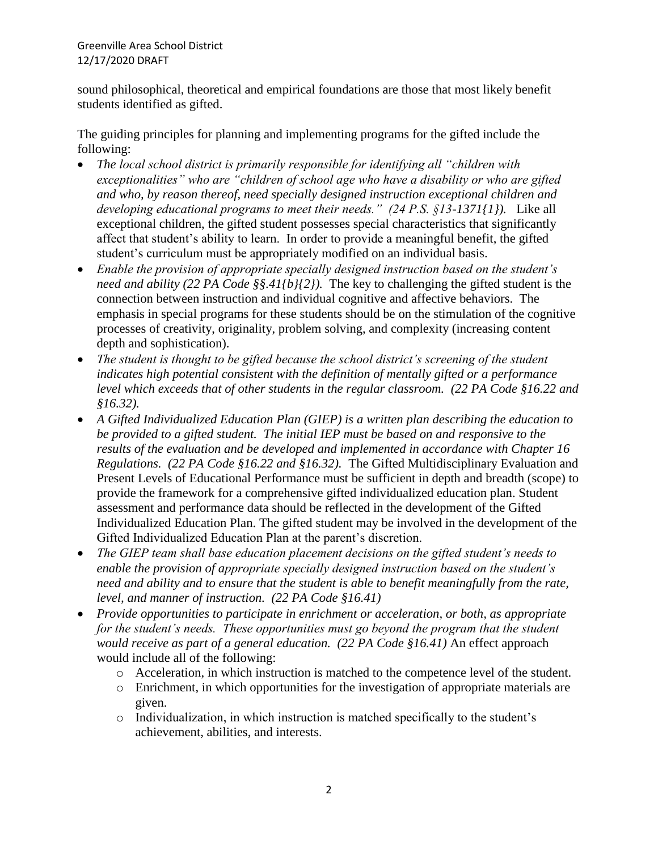sound philosophical, theoretical and empirical foundations are those that most likely benefit students identified as gifted.

The guiding principles for planning and implementing programs for the gifted include the following:

- *The local school district is primarily responsible for identifying all "children with exceptionalities" who are "children of school age who have a disability or who are gifted and who, by reason thereof, need specially designed instruction exceptional children and developing educational programs to meet their needs." (24 P.S. §13-1371{1}).* Like all exceptional children, the gifted student possesses special characteristics that significantly affect that student's ability to learn. In order to provide a meaningful benefit, the gifted student's curriculum must be appropriately modified on an individual basis.
- *Enable the provision of appropriate specially designed instruction based on the student's need and ability (22 PA Code §§.41{b}{2}).* The key to challenging the gifted student is the connection between instruction and individual cognitive and affective behaviors. The emphasis in special programs for these students should be on the stimulation of the cognitive processes of creativity, originality, problem solving, and complexity (increasing content depth and sophistication).
- *The student is thought to be gifted because the school district's screening of the student indicates high potential consistent with the definition of mentally gifted or a performance level which exceeds that of other students in the regular classroom. (22 PA Code §16.22 and §16.32).*
- *A Gifted Individualized Education Plan (GIEP) is a written plan describing the education to be provided to a gifted student. The initial IEP must be based on and responsive to the results of the evaluation and be developed and implemented in accordance with Chapter 16 Regulations. (22 PA Code §16.22 and §16.32).* The Gifted Multidisciplinary Evaluation and Present Levels of Educational Performance must be sufficient in depth and breadth (scope) to provide the framework for a comprehensive gifted individualized education plan. Student assessment and performance data should be reflected in the development of the Gifted Individualized Education Plan. The gifted student may be involved in the development of the Gifted Individualized Education Plan at the parent's discretion.
- *The GIEP team shall base education placement decisions on the gifted student's needs to enable the provision of appropriate specially designed instruction based on the student's need and ability and to ensure that the student is able to benefit meaningfully from the rate, level, and manner of instruction. (22 PA Code §16.41)*
- *Provide opportunities to participate in enrichment or acceleration, or both, as appropriate for the student's needs. These opportunities must go beyond the program that the student would receive as part of a general education. (22 PA Code §16.41)* An effect approach would include all of the following:
	- o Acceleration, in which instruction is matched to the competence level of the student.
	- o Enrichment, in which opportunities for the investigation of appropriate materials are given.
	- $\circ$  Individualization, in which instruction is matched specifically to the student's achievement, abilities, and interests.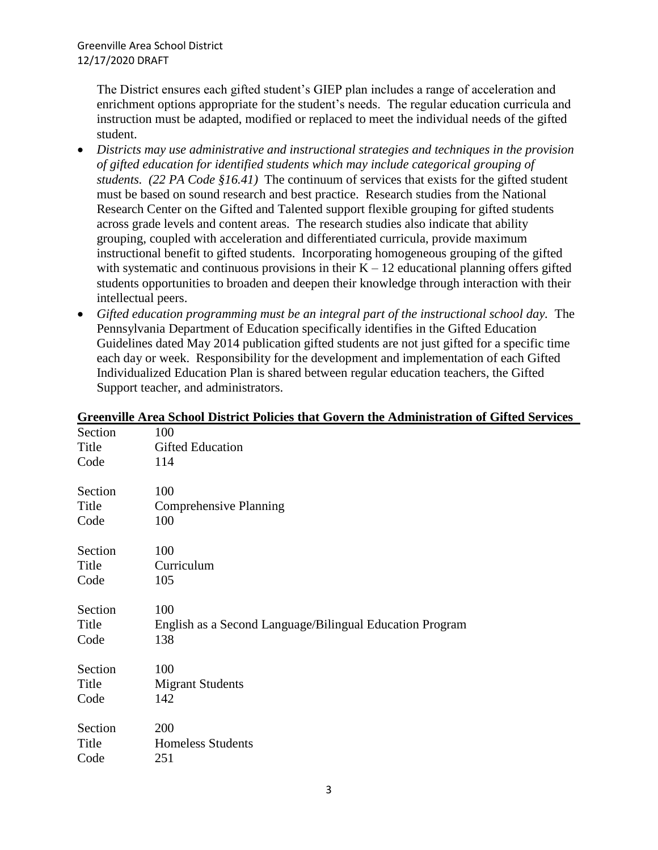The District ensures each gifted student's GIEP plan includes a range of acceleration and enrichment options appropriate for the student's needs. The regular education curricula and instruction must be adapted, modified or replaced to meet the individual needs of the gifted student.

- *Districts may use administrative and instructional strategies and techniques in the provision of gifted education for identified students which may include categorical grouping of students. (22 PA Code §16.41)* The continuum of services that exists for the gifted student must be based on sound research and best practice. Research studies from the National Research Center on the Gifted and Talented support flexible grouping for gifted students across grade levels and content areas. The research studies also indicate that ability grouping, coupled with acceleration and differentiated curricula, provide maximum instructional benefit to gifted students. Incorporating homogeneous grouping of the gifted with systematic and continuous provisions in their  $K - 12$  educational planning offers gifted students opportunities to broaden and deepen their knowledge through interaction with their intellectual peers.
- *Gifted education programming must be an integral part of the instructional school day.* The Pennsylvania Department of Education specifically identifies in the Gifted Education Guidelines dated May 2014 publication gifted students are not just gifted for a specific time each day or week. Responsibility for the development and implementation of each Gifted Individualized Education Plan is shared between regular education teachers, the Gifted Support teacher, and administrators.

| 100                                                      |
|----------------------------------------------------------|
| <b>Gifted Education</b>                                  |
| 114                                                      |
| 100                                                      |
| Comprehensive Planning                                   |
| 100                                                      |
| 100                                                      |
| Curriculum                                               |
| 105                                                      |
| 100                                                      |
| English as a Second Language/Bilingual Education Program |
| 138                                                      |
| 100                                                      |
| <b>Migrant Students</b>                                  |
| 142                                                      |
| 200                                                      |
| <b>Homeless Students</b>                                 |
| 251                                                      |
|                                                          |

## **Greenville Area School District Policies that Govern the Administration of Gifted Services**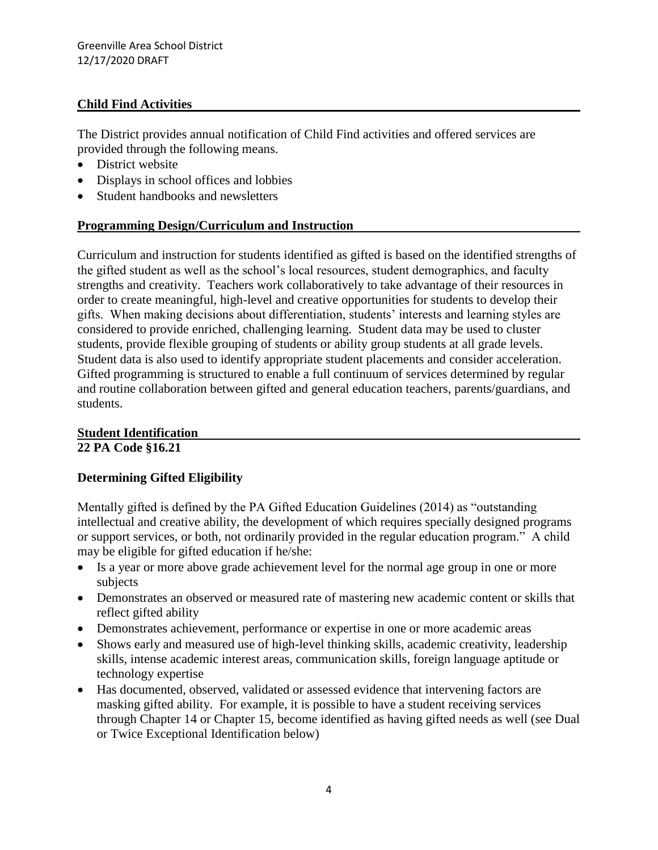## **Child Find Activities**

The District provides annual notification of Child Find activities and offered services are provided through the following means.

- District website
- Displays in school offices and lobbies
- Student handbooks and newsletters

### **Programming Design/Curriculum and Instruction**

Curriculum and instruction for students identified as gifted is based on the identified strengths of the gifted student as well as the school's local resources, student demographics, and faculty strengths and creativity. Teachers work collaboratively to take advantage of their resources in order to create meaningful, high-level and creative opportunities for students to develop their gifts. When making decisions about differentiation, students' interests and learning styles are considered to provide enriched, challenging learning. Student data may be used to cluster students, provide flexible grouping of students or ability group students at all grade levels. Student data is also used to identify appropriate student placements and consider acceleration. Gifted programming is structured to enable a full continuum of services determined by regular and routine collaboration between gifted and general education teachers, parents/guardians, and students.

## **Student Identification**

**22 PA Code §16.21**

## **Determining Gifted Eligibility**

Mentally gifted is defined by the PA Gifted Education Guidelines (2014) as "outstanding intellectual and creative ability, the development of which requires specially designed programs or support services, or both, not ordinarily provided in the regular education program." A child may be eligible for gifted education if he/she:

- Is a year or more above grade achievement level for the normal age group in one or more subjects
- Demonstrates an observed or measured rate of mastering new academic content or skills that reflect gifted ability
- Demonstrates achievement, performance or expertise in one or more academic areas
- Shows early and measured use of high-level thinking skills, academic creativity, leadership skills, intense academic interest areas, communication skills, foreign language aptitude or technology expertise
- Has documented, observed, validated or assessed evidence that intervening factors are masking gifted ability. For example, it is possible to have a student receiving services through Chapter 14 or Chapter 15, become identified as having gifted needs as well (see Dual or Twice Exceptional Identification below)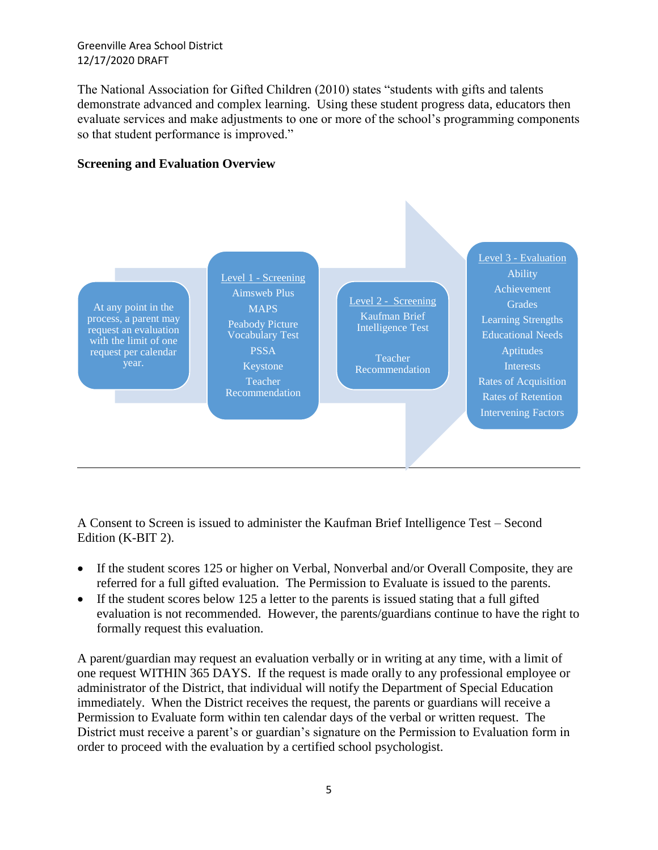The National Association for Gifted Children (2010) states "students with gifts and talents demonstrate advanced and complex learning. Using these student progress data, educators then evaluate services and make adjustments to one or more of the school's programming components so that student performance is improved."

### **Screening and Evaluation Overview**



A Consent to Screen is issued to administer the Kaufman Brief Intelligence Test – Second Edition (K-BIT 2).

- If the student scores 125 or higher on Verbal, Nonverbal and/or Overall Composite, they are referred for a full gifted evaluation. The Permission to Evaluate is issued to the parents.
- If the student scores below 125 a letter to the parents is issued stating that a full gifted evaluation is not recommended. However, the parents/guardians continue to have the right to formally request this evaluation.

A parent/guardian may request an evaluation verbally or in writing at any time, with a limit of one request WITHIN 365 DAYS. If the request is made orally to any professional employee or administrator of the District, that individual will notify the Department of Special Education immediately. When the District receives the request, the parents or guardians will receive a Permission to Evaluate form within ten calendar days of the verbal or written request. The District must receive a parent's or guardian's signature on the Permission to Evaluation form in order to proceed with the evaluation by a certified school psychologist.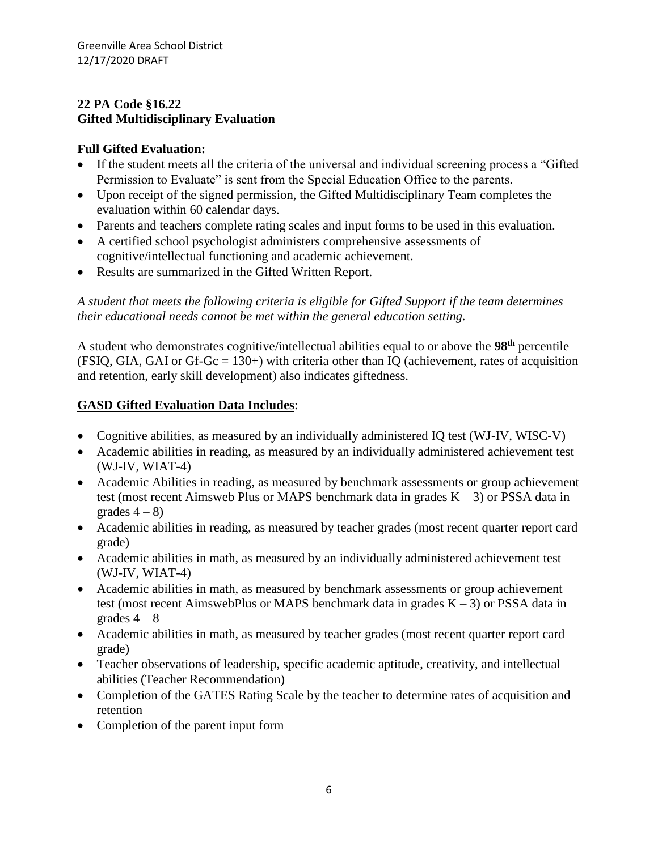## **22 PA Code §16.22 Gifted Multidisciplinary Evaluation**

## **Full Gifted Evaluation:**

- If the student meets all the criteria of the universal and individual screening process a "Gifted" Permission to Evaluate" is sent from the Special Education Office to the parents.
- Upon receipt of the signed permission, the Gifted Multidisciplinary Team completes the evaluation within 60 calendar days.
- Parents and teachers complete rating scales and input forms to be used in this evaluation.
- A certified school psychologist administers comprehensive assessments of cognitive/intellectual functioning and academic achievement.
- Results are summarized in the Gifted Written Report.

*A student that meets the following criteria is eligible for Gifted Support if the team determines their educational needs cannot be met within the general education setting.* 

A student who demonstrates cognitive/intellectual abilities equal to or above the **98th** percentile (FSIQ, GIA, GAI or  $Gf-Gc = 130+$ ) with criteria other than IQ (achievement, rates of acquisition and retention, early skill development) also indicates giftedness.

## **GASD Gifted Evaluation Data Includes**:

- Cognitive abilities, as measured by an individually administered IQ test (WJ-IV, WISC-V)
- Academic abilities in reading, as measured by an individually administered achievement test (WJ-IV, WIAT-4)
- Academic Abilities in reading, as measured by benchmark assessments or group achievement test (most recent Aimsweb Plus or MAPS benchmark data in grades  $K - 3$ ) or PSSA data in grades  $4-8$ )
- Academic abilities in reading, as measured by teacher grades (most recent quarter report card grade)
- Academic abilities in math, as measured by an individually administered achievement test (WJ-IV, WIAT-4)
- Academic abilities in math, as measured by benchmark assessments or group achievement test (most recent AimswebPlus or MAPS benchmark data in grades  $K - 3$ ) or PSSA data in grades  $4 - 8$
- Academic abilities in math, as measured by teacher grades (most recent quarter report card grade)
- Teacher observations of leadership, specific academic aptitude, creativity, and intellectual abilities (Teacher Recommendation)
- Completion of the GATES Rating Scale by the teacher to determine rates of acquisition and retention
- Completion of the parent input form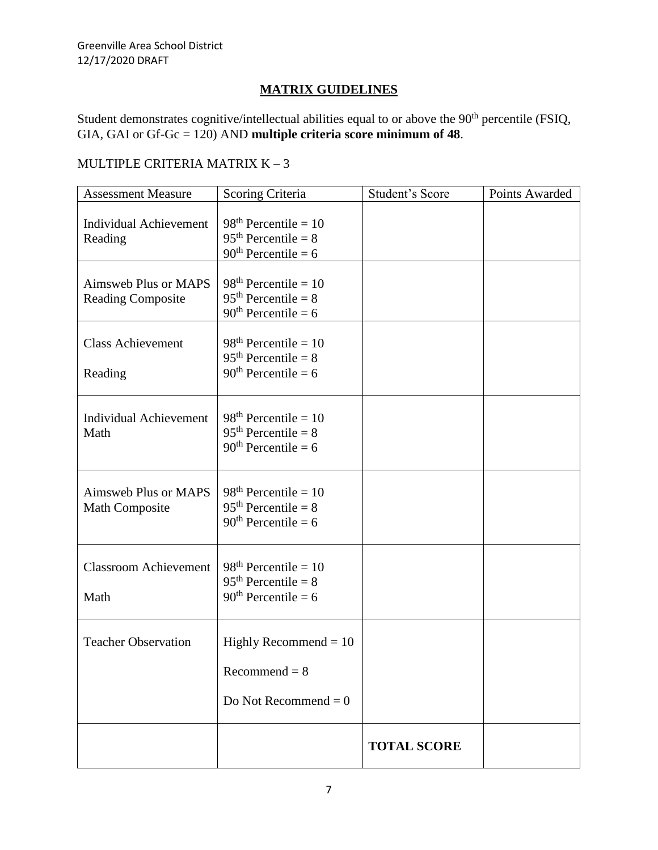## **MATRIX GUIDELINES**

Student demonstrates cognitive/intellectual abilities equal to or above the 90<sup>th</sup> percentile (FSIQ, GIA, GAI or Gf-Gc = 120) AND **multiple criteria score minimum of 48**.

## MULTIPLE CRITERIA MATRIX K – 3

| <b>Assessment Measure</b>                        | Scoring Criteria                                                                     | <b>Student's Score</b> | Points Awarded |
|--------------------------------------------------|--------------------------------------------------------------------------------------|------------------------|----------------|
| <b>Individual Achievement</b><br>Reading         | $98th$ Percentile = 10<br>$95th$ Percentile = 8<br>$90th$ Percentile = 6             |                        |                |
| Aimsweb Plus or MAPS<br><b>Reading Composite</b> | $98th$ Percentile = 10<br>$95th$ Percentile = 8<br>$90th$ Percentile = 6             |                        |                |
| <b>Class Achievement</b><br>Reading              | $98th$ Percentile = 10<br>$95th$ Percentile = 8<br>$90th$ Percentile = 6             |                        |                |
| <b>Individual Achievement</b><br>Math            | $98th$ Percentile = 10<br>$95th$ Percentile = 8<br>$90^{th}$ Percentile = 6          |                        |                |
| Aimsweb Plus or MAPS<br><b>Math Composite</b>    | $98th$ Percentile = 10<br>$95th$ Percentile = 8<br>$90th$ Percentile = 6             |                        |                |
| <b>Classroom Achievement</b><br>Math             | 98 <sup>th</sup> Percentile = $10$<br>$95th$ Percentile = 8<br>$90th$ Percentile = 6 |                        |                |
| <b>Teacher Observation</b>                       | Highly Recommend $= 10$<br>$Recommend = 8$<br>Do Not Recommend = $0$                 |                        |                |
|                                                  |                                                                                      | <b>TOTAL SCORE</b>     |                |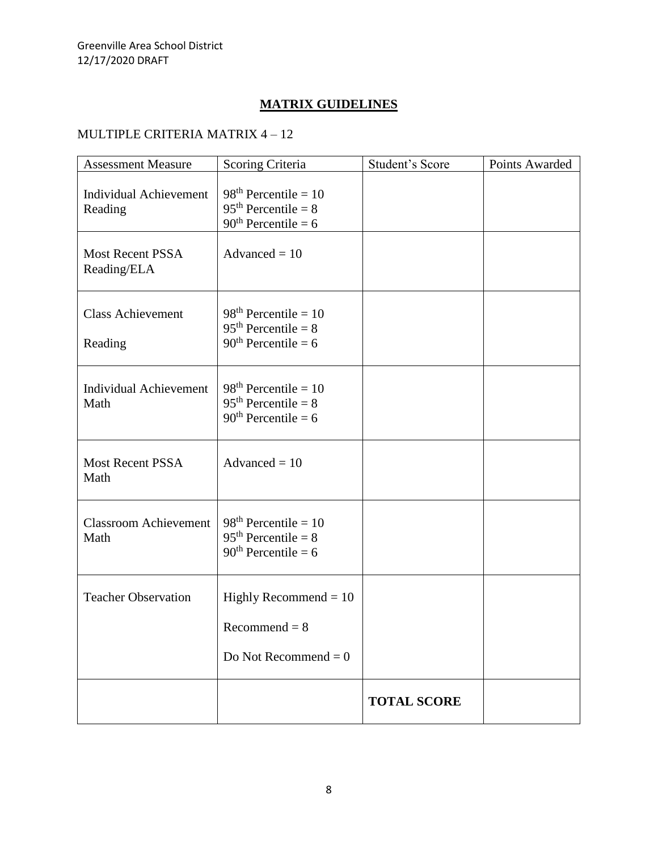## **MATRIX GUIDELINES**

## MULTIPLE CRITERIA MATRIX 4 – 12

| <b>Assessment Measure</b>                | Scoring Criteria                                                                     | <b>Student's Score</b> | Points Awarded |
|------------------------------------------|--------------------------------------------------------------------------------------|------------------------|----------------|
| <b>Individual Achievement</b><br>Reading | $98th$ Percentile = 10<br>$95th$ Percentile = 8<br>$90th$ Percentile = 6             |                        |                |
| <b>Most Recent PSSA</b><br>Reading/ELA   | $Advanced = 10$                                                                      |                        |                |
| <b>Class Achievement</b><br>Reading      | 98 <sup>th</sup> Percentile = $10$<br>$95th$ Percentile = 8<br>$90th$ Percentile = 6 |                        |                |
| <b>Individual Achievement</b><br>Math    | $98th$ Percentile = 10<br>$95th$ Percentile = 8<br>$90th$ Percentile = 6             |                        |                |
| <b>Most Recent PSSA</b><br>Math          | Advanced $= 10$                                                                      |                        |                |
| <b>Classroom Achievement</b><br>Math     | $98th$ Percentile = 10<br>$95th$ Percentile = 8<br>$90th$ Percentile = 6             |                        |                |
| <b>Teacher Observation</b>               | Highly Recommend $= 10$<br>$Recommend = 8$<br>Do Not Recommend = $0$                 |                        |                |
|                                          |                                                                                      | <b>TOTAL SCORE</b>     |                |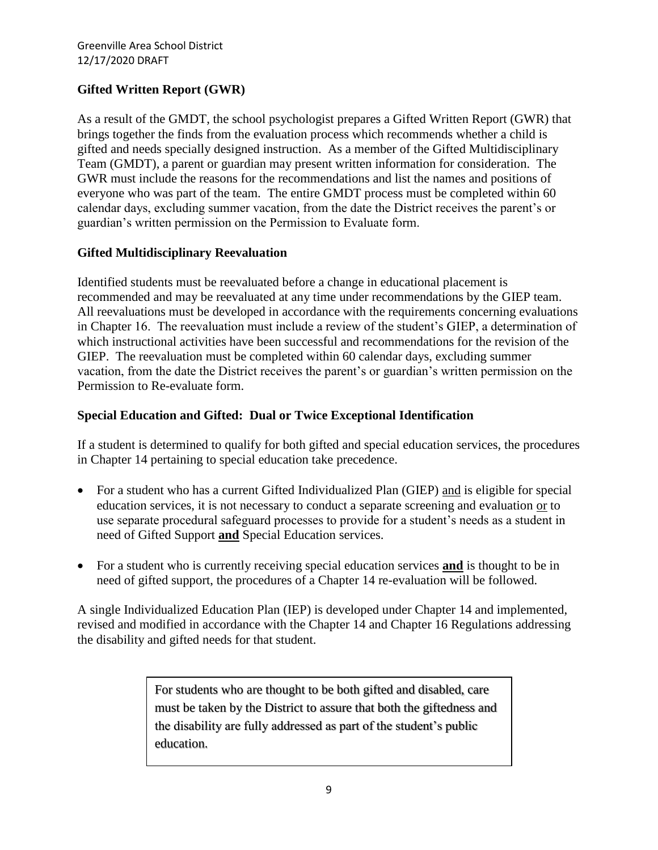## **Gifted Written Report (GWR)**

As a result of the GMDT, the school psychologist prepares a Gifted Written Report (GWR) that brings together the finds from the evaluation process which recommends whether a child is gifted and needs specially designed instruction. As a member of the Gifted Multidisciplinary Team (GMDT), a parent or guardian may present written information for consideration. The GWR must include the reasons for the recommendations and list the names and positions of everyone who was part of the team. The entire GMDT process must be completed within 60 calendar days, excluding summer vacation, from the date the District receives the parent's or guardian's written permission on the Permission to Evaluate form.

### **Gifted Multidisciplinary Reevaluation**

Identified students must be reevaluated before a change in educational placement is recommended and may be reevaluated at any time under recommendations by the GIEP team. All reevaluations must be developed in accordance with the requirements concerning evaluations in Chapter 16. The reevaluation must include a review of the student's GIEP, a determination of which instructional activities have been successful and recommendations for the revision of the GIEP. The reevaluation must be completed within 60 calendar days, excluding summer vacation, from the date the District receives the parent's or guardian's written permission on the Permission to Re-evaluate form.

### **Special Education and Gifted: Dual or Twice Exceptional Identification**

If a student is determined to qualify for both gifted and special education services, the procedures in Chapter 14 pertaining to special education take precedence.

- For a student who has a current Gifted Individualized Plan (GIEP) and is eligible for special education services, it is not necessary to conduct a separate screening and evaluation or to use separate procedural safeguard processes to provide for a student's needs as a student in need of Gifted Support **and** Special Education services.
- For a student who is currently receiving special education services **and** is thought to be in need of gifted support, the procedures of a Chapter 14 re-evaluation will be followed.

A single Individualized Education Plan (IEP) is developed under Chapter 14 and implemented, revised and modified in accordance with the Chapter 14 and Chapter 16 Regulations addressing the disability and gifted needs for that student.

> For students who are thought to be both gifted and disabled, care must be taken by the District to assure that both the giftedness and the disability are fully addressed as part of the student's public education.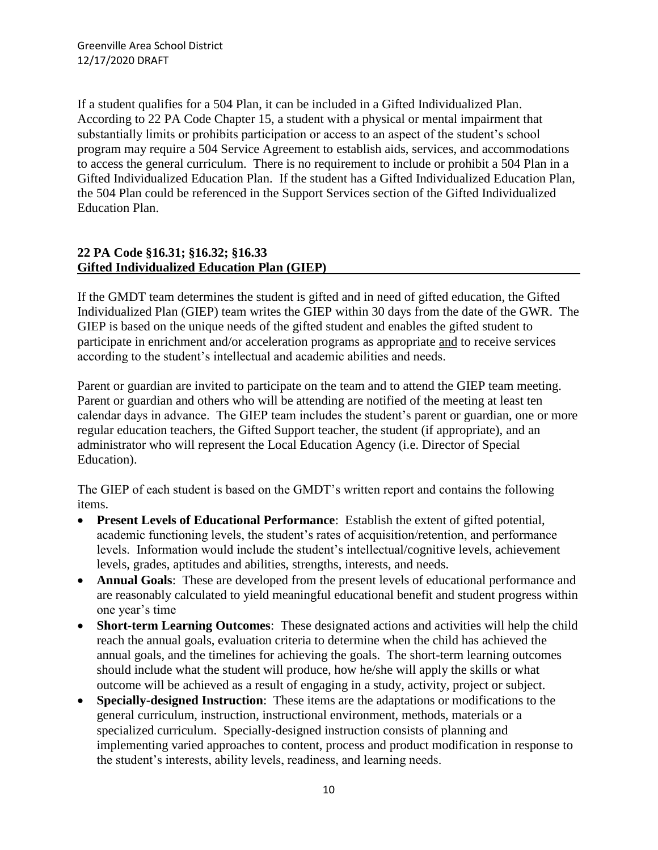If a student qualifies for a 504 Plan, it can be included in a Gifted Individualized Plan. According to 22 PA Code Chapter 15, a student with a physical or mental impairment that substantially limits or prohibits participation or access to an aspect of the student's school program may require a 504 Service Agreement to establish aids, services, and accommodations to access the general curriculum. There is no requirement to include or prohibit a 504 Plan in a Gifted Individualized Education Plan. If the student has a Gifted Individualized Education Plan, the 504 Plan could be referenced in the Support Services section of the Gifted Individualized Education Plan.

### **22 PA Code §16.31; §16.32; §16.33 Gifted Individualized Education Plan (GIEP)**

If the GMDT team determines the student is gifted and in need of gifted education, the Gifted Individualized Plan (GIEP) team writes the GIEP within 30 days from the date of the GWR. The GIEP is based on the unique needs of the gifted student and enables the gifted student to participate in enrichment and/or acceleration programs as appropriate and to receive services according to the student's intellectual and academic abilities and needs.

Parent or guardian are invited to participate on the team and to attend the GIEP team meeting. Parent or guardian and others who will be attending are notified of the meeting at least ten calendar days in advance. The GIEP team includes the student's parent or guardian, one or more regular education teachers, the Gifted Support teacher, the student (if appropriate), and an administrator who will represent the Local Education Agency (i.e. Director of Special Education).

The GIEP of each student is based on the GMDT's written report and contains the following items.

- **Present Levels of Educational Performance:** Establish the extent of gifted potential, academic functioning levels, the student's rates of acquisition/retention, and performance levels. Information would include the student's intellectual/cognitive levels, achievement levels, grades, aptitudes and abilities, strengths, interests, and needs.
- **Annual Goals**: These are developed from the present levels of educational performance and are reasonably calculated to yield meaningful educational benefit and student progress within one year's time
- **Short-term Learning Outcomes**: These designated actions and activities will help the child reach the annual goals, evaluation criteria to determine when the child has achieved the annual goals, and the timelines for achieving the goals. The short-term learning outcomes should include what the student will produce, how he/she will apply the skills or what outcome will be achieved as a result of engaging in a study, activity, project or subject.
- **Specially-designed Instruction:** These items are the adaptations or modifications to the general curriculum, instruction, instructional environment, methods, materials or a specialized curriculum. Specially-designed instruction consists of planning and implementing varied approaches to content, process and product modification in response to the student's interests, ability levels, readiness, and learning needs.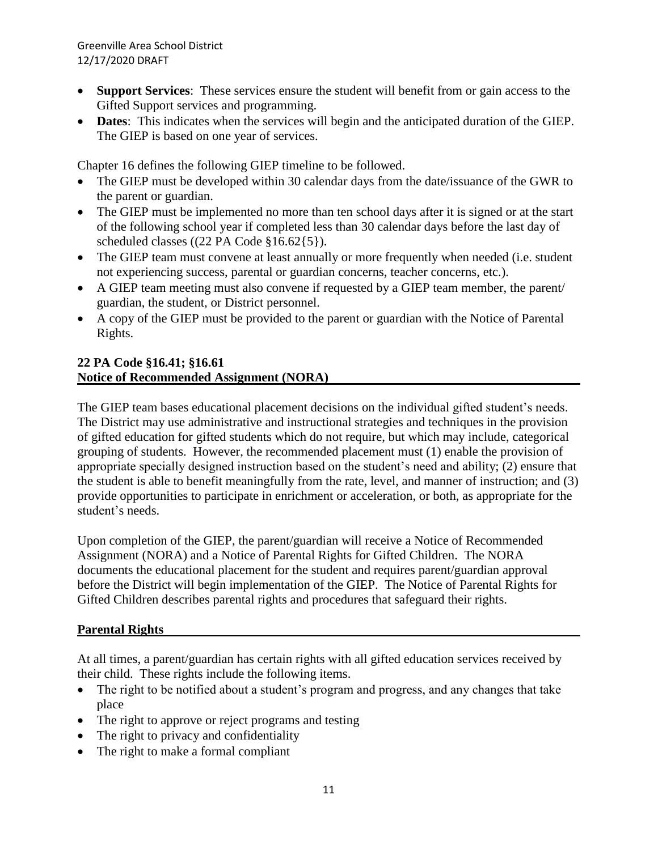- **Support Services**: These services ensure the student will benefit from or gain access to the Gifted Support services and programming.
- **Dates**: This indicates when the services will begin and the anticipated duration of the GIEP. The GIEP is based on one year of services.

Chapter 16 defines the following GIEP timeline to be followed.

- The GIEP must be developed within 30 calendar days from the date/issuance of the GWR to the parent or guardian.
- The GIEP must be implemented no more than ten school days after it is signed or at the start of the following school year if completed less than 30 calendar days before the last day of scheduled classes ((22 PA Code §16.62{5}).
- The GIEP team must convene at least annually or more frequently when needed (i.e. student not experiencing success, parental or guardian concerns, teacher concerns, etc.).
- A GIEP team meeting must also convene if requested by a GIEP team member, the parent/ guardian, the student, or District personnel.
- A copy of the GIEP must be provided to the parent or guardian with the Notice of Parental Rights.

## **22 PA Code §16.41; §16.61 Notice of Recommended Assignment (NORA)**

The GIEP team bases educational placement decisions on the individual gifted student's needs. The District may use administrative and instructional strategies and techniques in the provision of gifted education for gifted students which do not require, but which may include, categorical grouping of students. However, the recommended placement must (1) enable the provision of appropriate specially designed instruction based on the student's need and ability; (2) ensure that the student is able to benefit meaningfully from the rate, level, and manner of instruction; and (3) provide opportunities to participate in enrichment or acceleration, or both, as appropriate for the student's needs.

Upon completion of the GIEP, the parent/guardian will receive a Notice of Recommended Assignment (NORA) and a Notice of Parental Rights for Gifted Children. The NORA documents the educational placement for the student and requires parent/guardian approval before the District will begin implementation of the GIEP. The Notice of Parental Rights for Gifted Children describes parental rights and procedures that safeguard their rights.

## **Parental Rights**

At all times, a parent/guardian has certain rights with all gifted education services received by their child. These rights include the following items.

- The right to be notified about a student's program and progress, and any changes that take place
- The right to approve or reject programs and testing
- The right to privacy and confidentiality
- The right to make a formal compliant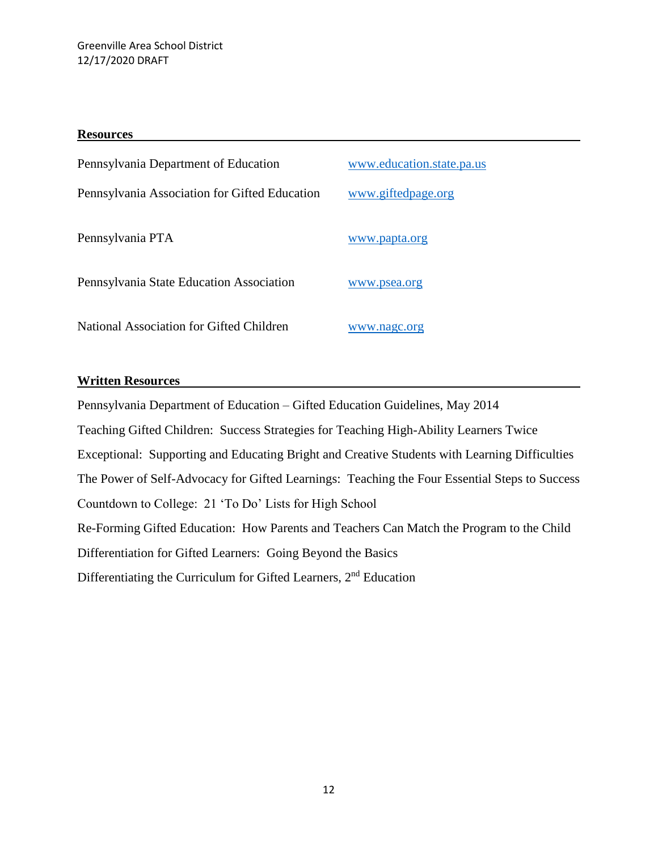#### **Resources**

| Pennsylvania Department of Education          | www.education.state.pa.us |
|-----------------------------------------------|---------------------------|
| Pennsylvania Association for Gifted Education | www.giftedpage.org        |
| Pennsylvania PTA                              | www.papta.org             |
| Pennsylvania State Education Association      | www.psea.org              |
| National Association for Gifted Children      | www.nagc.org              |

#### **Written Resources**

Pennsylvania Department of Education – Gifted Education Guidelines, May 2014 Teaching Gifted Children: Success Strategies for Teaching High-Ability Learners Twice Exceptional: Supporting and Educating Bright and Creative Students with Learning Difficulties The Power of Self-Advocacy for Gifted Learnings: Teaching the Four Essential Steps to Success Countdown to College: 21 'To Do' Lists for High School Re-Forming Gifted Education: How Parents and Teachers Can Match the Program to the Child Differentiation for Gifted Learners: Going Beyond the Basics Differentiating the Curriculum for Gifted Learners, 2<sup>nd</sup> Education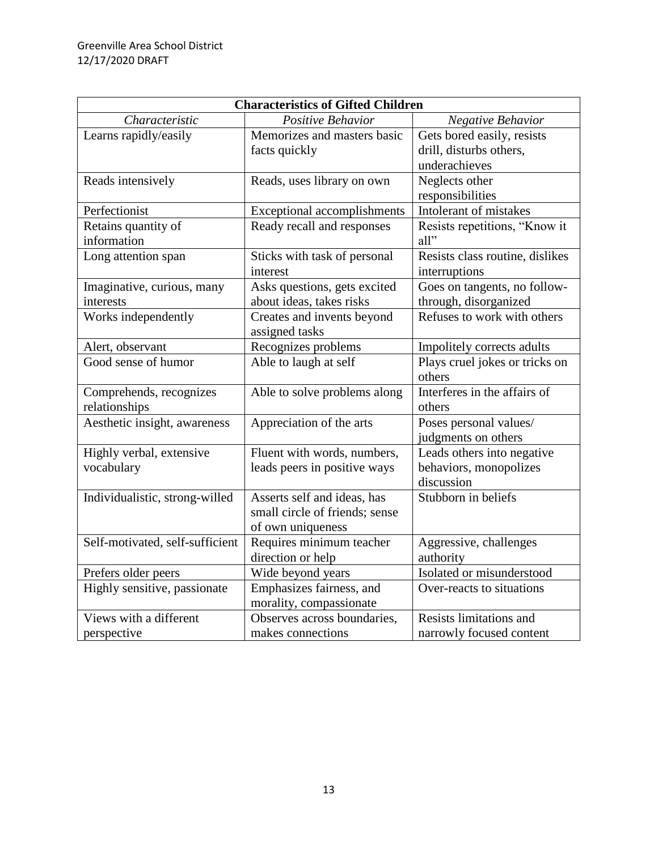| <b>Characteristics of Gifted Children</b> |                                                     |                                       |  |  |
|-------------------------------------------|-----------------------------------------------------|---------------------------------------|--|--|
| Characteristic                            | Positive Behavior                                   | <b>Negative Behavior</b>              |  |  |
| Learns rapidly/easily                     | Memorizes and masters basic                         | Gets bored easily, resists            |  |  |
|                                           | facts quickly                                       | drill, disturbs others,               |  |  |
|                                           |                                                     | underachieves                         |  |  |
| Reads intensively                         | Reads, uses library on own                          | Neglects other                        |  |  |
|                                           |                                                     | responsibilities                      |  |  |
| Perfectionist                             | <b>Exceptional accomplishments</b>                  | Intolerant of mistakes                |  |  |
| Retains quantity of<br>information        | Ready recall and responses                          | Resists repetitions, "Know it<br>all" |  |  |
| Long attention span                       | Sticks with task of personal                        | Resists class routine, dislikes       |  |  |
|                                           | interest                                            | interruptions                         |  |  |
| Imaginative, curious, many                | Asks questions, gets excited                        | Goes on tangents, no follow-          |  |  |
| interests                                 | about ideas, takes risks                            | through, disorganized                 |  |  |
| Works independently                       | Creates and invents beyond                          | Refuses to work with others           |  |  |
|                                           | assigned tasks                                      |                                       |  |  |
| Alert, observant                          | Recognizes problems                                 | Impolitely corrects adults            |  |  |
| Good sense of humor                       | Able to laugh at self                               | Plays cruel jokes or tricks on        |  |  |
|                                           |                                                     | others                                |  |  |
| Comprehends, recognizes                   | Able to solve problems along                        | Interferes in the affairs of          |  |  |
| relationships                             |                                                     | others                                |  |  |
| Aesthetic insight, awareness              | Appreciation of the arts                            | Poses personal values/                |  |  |
|                                           |                                                     | judgments on others                   |  |  |
| Highly verbal, extensive                  | Fluent with words, numbers,                         | Leads others into negative            |  |  |
| vocabulary                                | leads peers in positive ways                        | behaviors, monopolizes                |  |  |
|                                           |                                                     | discussion                            |  |  |
| Individualistic, strong-willed            | Asserts self and ideas, has                         | Stubborn in beliefs                   |  |  |
|                                           | small circle of friends; sense                      |                                       |  |  |
|                                           | of own uniqueness                                   |                                       |  |  |
| Self-motivated, self-sufficient           | Requires minimum teacher                            | Aggressive, challenges                |  |  |
|                                           | direction or help                                   | authority                             |  |  |
| Prefers older peers                       | Wide beyond years                                   | Isolated or misunderstood             |  |  |
| Highly sensitive, passionate              | Emphasizes fairness, and<br>morality, compassionate | Over-reacts to situations             |  |  |
| Views with a different                    | Observes across boundaries,                         | Resists limitations and               |  |  |
| perspective                               | makes connections                                   | narrowly focused content              |  |  |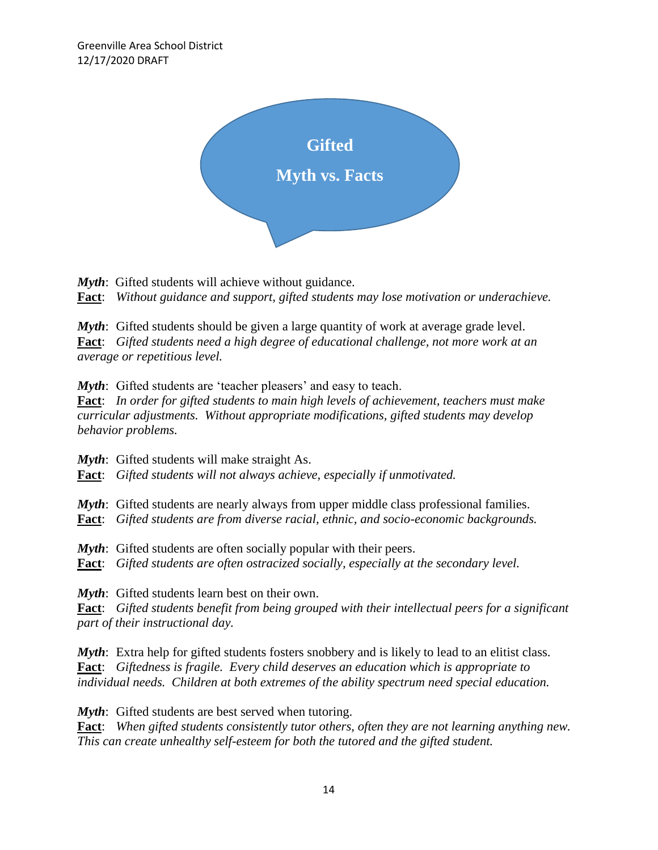

*Myth*: Gifted students will achieve without guidance.

**Fact**: *Without guidance and support, gifted students may lose motivation or underachieve.* 

*Myth*: Gifted students should be given a large quantity of work at average grade level. **Fact**: *Gifted students need a high degree of educational challenge, not more work at an average or repetitious level.*

*Myth*: Gifted students are 'teacher pleasers' and easy to teach.

**Fact**: *In order for gifted students to main high levels of achievement, teachers must make curricular adjustments. Without appropriate modifications, gifted students may develop behavior problems.* 

*Myth*: Gifted students will make straight As.

**Fact**: *Gifted students will not always achieve, especially if unmotivated.* 

*Myth*: Gifted students are nearly always from upper middle class professional families. **Fact**: *Gifted students are from diverse racial, ethnic, and socio-economic backgrounds.* 

*Myth*: Gifted students are often socially popular with their peers.

**Fact**: *Gifted students are often ostracized socially, especially at the secondary level.* 

*Myth*: Gifted students learn best on their own.

**Fact**: *Gifted students benefit from being grouped with their intellectual peers for a significant part of their instructional day.* 

*Myth*: Extra help for gifted students fosters snobbery and is likely to lead to an elitist class. **Fact**: *Giftedness is fragile. Every child deserves an education which is appropriate to individual needs. Children at both extremes of the ability spectrum need special education.*

*Myth*: Gifted students are best served when tutoring.

**Fact**: *When gifted students consistently tutor others, often they are not learning anything new. This can create unhealthy self-esteem for both the tutored and the gifted student.*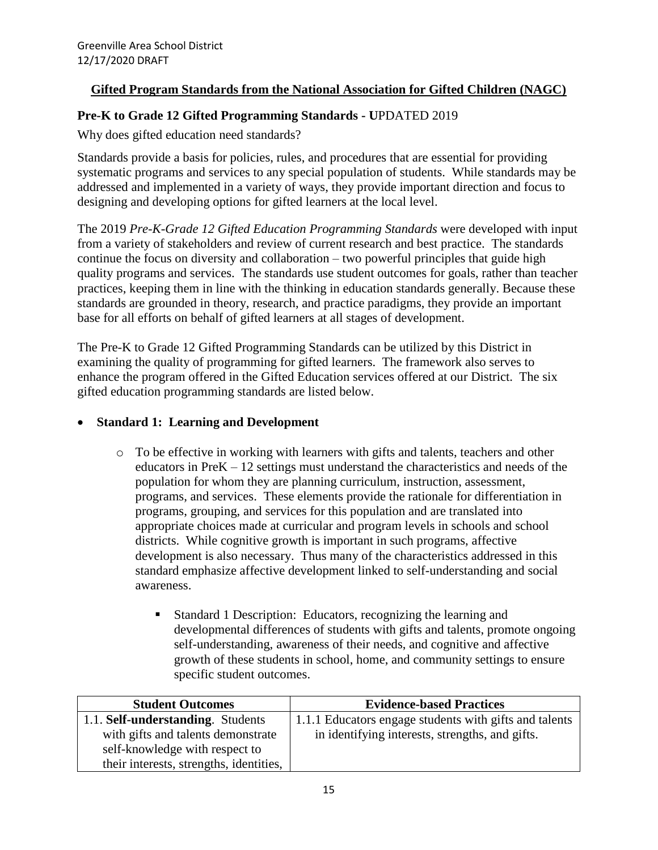## **Gifted Program Standards from the National Association for Gifted Children (NAGC)**

### **Pre-K to Grade 12 Gifted Programming Standards - U**PDATED 2019

Why does gifted education need standards?

Standards provide a basis for policies, rules, and procedures that are essential for providing systematic programs and services to any special population of students. While standards may be addressed and implemented in a variety of ways, they provide important direction and focus to designing and developing options for gifted learners at the local level.

The 2019 *Pre-K-Grade 12 Gifted Education Programming Standards* were developed with input from a variety of stakeholders and review of current research and best practice. The standards continue the focus on diversity and collaboration – two powerful principles that guide high quality programs and services. The standards use student outcomes for goals, rather than teacher practices, keeping them in line with the thinking in education standards generally. Because these standards are grounded in theory, research, and practice paradigms, they provide an important base for all efforts on behalf of gifted learners at all stages of development.

The Pre-K to Grade 12 Gifted Programming Standards can be utilized by this District in examining the quality of programming for gifted learners. The framework also serves to enhance the program offered in the Gifted Education services offered at our District. The six gifted education programming standards are listed below.

### • **Standard 1: Learning and Development**

- o To be effective in working with learners with gifts and talents, teachers and other educators in PreK – 12 settings must understand the characteristics and needs of the population for whom they are planning curriculum, instruction, assessment, programs, and services. These elements provide the rationale for differentiation in programs, grouping, and services for this population and are translated into appropriate choices made at curricular and program levels in schools and school districts. While cognitive growth is important in such programs, affective development is also necessary. Thus many of the characteristics addressed in this standard emphasize affective development linked to self-understanding and social awareness.
	- Standard 1 Description: Educators, recognizing the learning and developmental differences of students with gifts and talents, promote ongoing self-understanding, awareness of their needs, and cognitive and affective growth of these students in school, home, and community settings to ensure specific student outcomes.

| <b>Student Outcomes</b>                 | <b>Evidence-based Practices</b>                        |
|-----------------------------------------|--------------------------------------------------------|
| 1.1. Self-understanding. Students       | 1.1.1 Educators engage students with gifts and talents |
| with gifts and talents demonstrate      | in identifying interests, strengths, and gifts.        |
| self-knowledge with respect to          |                                                        |
| their interests, strengths, identities, |                                                        |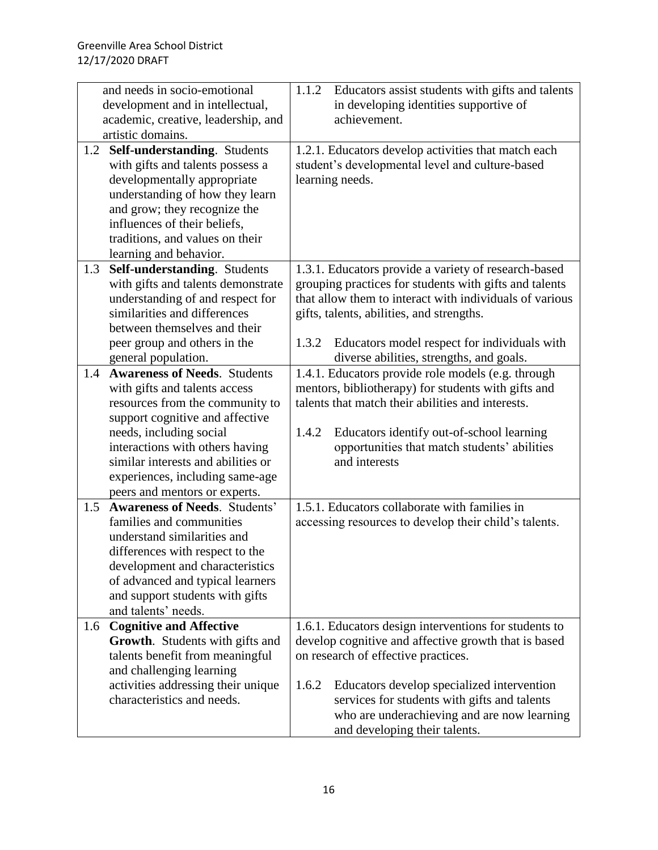|     | and needs in socio-emotional<br>development and in intellectual,<br>academic, creative, leadership, and<br>artistic domains.                                                                                                                                                                                    | 1.1.2 | Educators assist students with gifts and talents<br>in developing identities supportive of<br>achievement.                                                                                                                                                                                                         |
|-----|-----------------------------------------------------------------------------------------------------------------------------------------------------------------------------------------------------------------------------------------------------------------------------------------------------------------|-------|--------------------------------------------------------------------------------------------------------------------------------------------------------------------------------------------------------------------------------------------------------------------------------------------------------------------|
|     | 1.2 Self-understanding. Students<br>with gifts and talents possess a<br>developmentally appropriate<br>understanding of how they learn<br>and grow; they recognize the<br>influences of their beliefs,<br>traditions, and values on their<br>learning and behavior.                                             |       | 1.2.1. Educators develop activities that match each<br>student's developmental level and culture-based<br>learning needs.                                                                                                                                                                                          |
| 1.3 | Self-understanding. Students<br>with gifts and talents demonstrate<br>understanding of and respect for<br>similarities and differences<br>between themselves and their<br>peer group and others in the<br>general population.                                                                                   | 1.3.2 | 1.3.1. Educators provide a variety of research-based<br>grouping practices for students with gifts and talents<br>that allow them to interact with individuals of various<br>gifts, talents, abilities, and strengths.<br>Educators model respect for individuals with<br>diverse abilities, strengths, and goals. |
|     | 1.4 Awareness of Needs. Students<br>with gifts and talents access<br>resources from the community to<br>support cognitive and affective<br>needs, including social<br>interactions with others having<br>similar interests and abilities or<br>experiences, including same-age<br>peers and mentors or experts. | 1.4.2 | 1.4.1. Educators provide role models (e.g. through<br>mentors, bibliotherapy) for students with gifts and<br>talents that match their abilities and interests.<br>Educators identify out-of-school learning<br>opportunities that match students' abilities<br>and interests                                       |
| 1.5 | <b>Awareness of Needs. Students'</b><br>families and communities<br>understand similarities and<br>differences with respect to the<br>development and characteristics<br>of advanced and typical learners<br>and support students with gifts<br>and talents' needs.                                             |       | 1.5.1. Educators collaborate with families in<br>accessing resources to develop their child's talents.                                                                                                                                                                                                             |
| 1.6 | <b>Cognitive and Affective</b><br>Growth. Students with gifts and<br>talents benefit from meaningful<br>and challenging learning                                                                                                                                                                                |       | 1.6.1. Educators design interventions for students to<br>develop cognitive and affective growth that is based<br>on research of effective practices.                                                                                                                                                               |
|     | activities addressing their unique<br>characteristics and needs.                                                                                                                                                                                                                                                | 1.6.2 | Educators develop specialized intervention<br>services for students with gifts and talents<br>who are underachieving and are now learning<br>and developing their talents.                                                                                                                                         |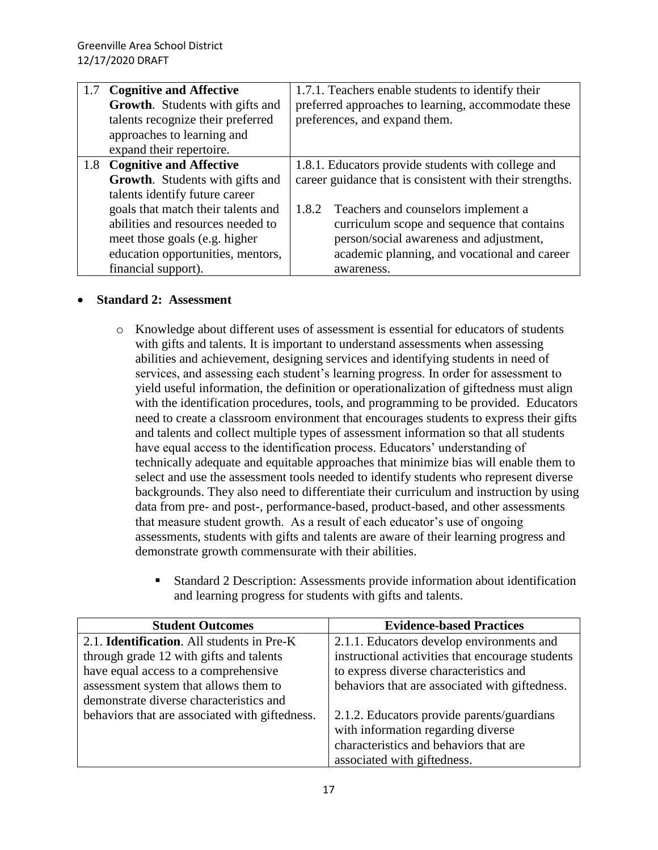| 1.7 Cognitive and Affective        |       | 1.7.1. Teachers enable students to identify their        |
|------------------------------------|-------|----------------------------------------------------------|
| Growth. Students with gifts and    |       | preferred approaches to learning, accommodate these      |
| talents recognize their preferred  |       | preferences, and expand them.                            |
| approaches to learning and         |       |                                                          |
| expand their repertoire.           |       |                                                          |
| 1.8 Cognitive and Affective        |       | 1.8.1. Educators provide students with college and       |
| Growth. Students with gifts and    |       | career guidance that is consistent with their strengths. |
| talents identify future career     |       |                                                          |
| goals that match their talents and | 1.8.2 | Teachers and counselors implement a                      |
| abilities and resources needed to  |       | curriculum scope and sequence that contains              |
| meet those goals (e.g. higher      |       | person/social awareness and adjustment,                  |
| education opportunities, mentors,  |       | academic planning, and vocational and career             |
| financial support).                |       | awareness.                                               |

### • **Standard 2: Assessment**

- o Knowledge about different uses of assessment is essential for educators of students with gifts and talents. It is important to understand assessments when assessing abilities and achievement, designing services and identifying students in need of services, and assessing each student's learning progress. In order for assessment to yield useful information, the definition or operationalization of giftedness must align with the identification procedures, tools, and programming to be provided. Educators need to create a classroom environment that encourages students to express their gifts and talents and collect multiple types of assessment information so that all students have equal access to the identification process. Educators' understanding of technically adequate and equitable approaches that minimize bias will enable them to select and use the assessment tools needed to identify students who represent diverse backgrounds. They also need to differentiate their curriculum and instruction by using data from pre- and post-, performance-based, product-based, and other assessments that measure student growth. As a result of each educator's use of ongoing assessments, students with gifts and talents are aware of their learning progress and demonstrate growth commensurate with their abilities.
	- Standard 2 Description: Assessments provide information about identification and learning progress for students with gifts and talents.

| <b>Student Outcomes</b>                            | <b>Evidence-based Practices</b>                  |
|----------------------------------------------------|--------------------------------------------------|
| 2.1. <b>Identification</b> . All students in Pre-K | 2.1.1. Educators develop environments and        |
| through grade 12 with gifts and talents            | instructional activities that encourage students |
| have equal access to a comprehensive               | to express diverse characteristics and           |
| assessment system that allows them to              | behaviors that are associated with giftedness.   |
| demonstrate diverse characteristics and            |                                                  |
| behaviors that are associated with giftedness.     | 2.1.2. Educators provide parents/guardians       |
|                                                    | with information regarding diverse               |
|                                                    | characteristics and behaviors that are           |
|                                                    | associated with giftedness.                      |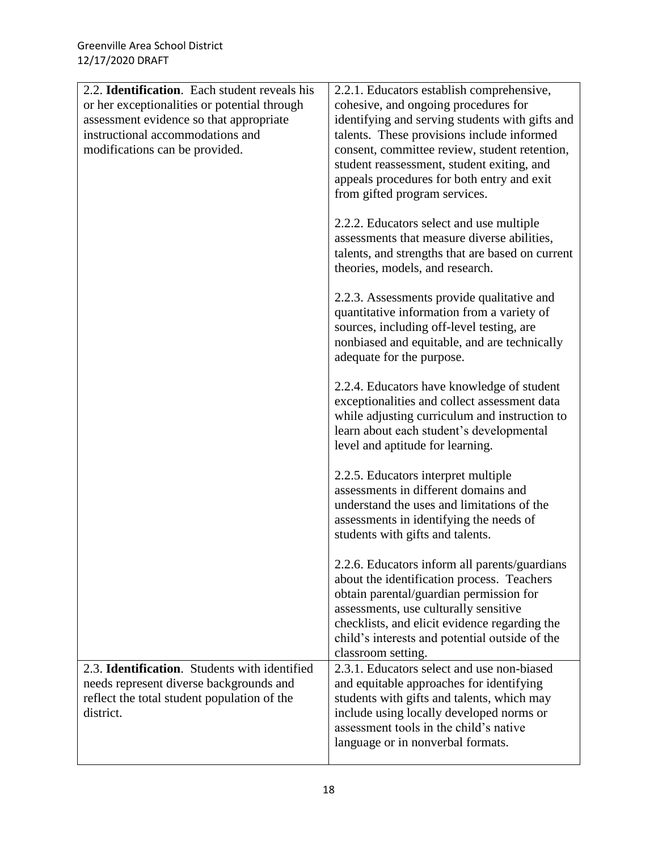| 2.2. <b>Identification</b> . Each student reveals his<br>or her exceptionalities or potential through<br>assessment evidence so that appropriate<br>instructional accommodations and<br>modifications can be provided. | 2.2.1. Educators establish comprehensive,<br>cohesive, and ongoing procedures for<br>identifying and serving students with gifts and<br>talents. These provisions include informed<br>consent, committee review, student retention,<br>student reassessment, student exiting, and<br>appeals procedures for both entry and exit |
|------------------------------------------------------------------------------------------------------------------------------------------------------------------------------------------------------------------------|---------------------------------------------------------------------------------------------------------------------------------------------------------------------------------------------------------------------------------------------------------------------------------------------------------------------------------|
|                                                                                                                                                                                                                        | from gifted program services.<br>2.2.2. Educators select and use multiple<br>assessments that measure diverse abilities,<br>talents, and strengths that are based on current<br>theories, models, and research.                                                                                                                 |
|                                                                                                                                                                                                                        | 2.2.3. Assessments provide qualitative and<br>quantitative information from a variety of<br>sources, including off-level testing, are<br>nonbiased and equitable, and are technically<br>adequate for the purpose.                                                                                                              |
|                                                                                                                                                                                                                        | 2.2.4. Educators have knowledge of student<br>exceptionalities and collect assessment data<br>while adjusting curriculum and instruction to<br>learn about each student's developmental<br>level and aptitude for learning.                                                                                                     |
|                                                                                                                                                                                                                        | 2.2.5. Educators interpret multiple<br>assessments in different domains and<br>understand the uses and limitations of the<br>assessments in identifying the needs of<br>students with gifts and talents.                                                                                                                        |
|                                                                                                                                                                                                                        | 2.2.6. Educators inform all parents/guardians<br>about the identification process. Teachers<br>obtain parental/guardian permission for<br>assessments, use culturally sensitive<br>checklists, and elicit evidence regarding the<br>child's interests and potential outside of the<br>classroom setting.                        |
| 2.3. Identification. Students with identified<br>needs represent diverse backgrounds and<br>reflect the total student population of the<br>district.                                                                   | 2.3.1. Educators select and use non-biased<br>and equitable approaches for identifying<br>students with gifts and talents, which may<br>include using locally developed norms or<br>assessment tools in the child's native<br>language or in nonverbal formats.                                                                 |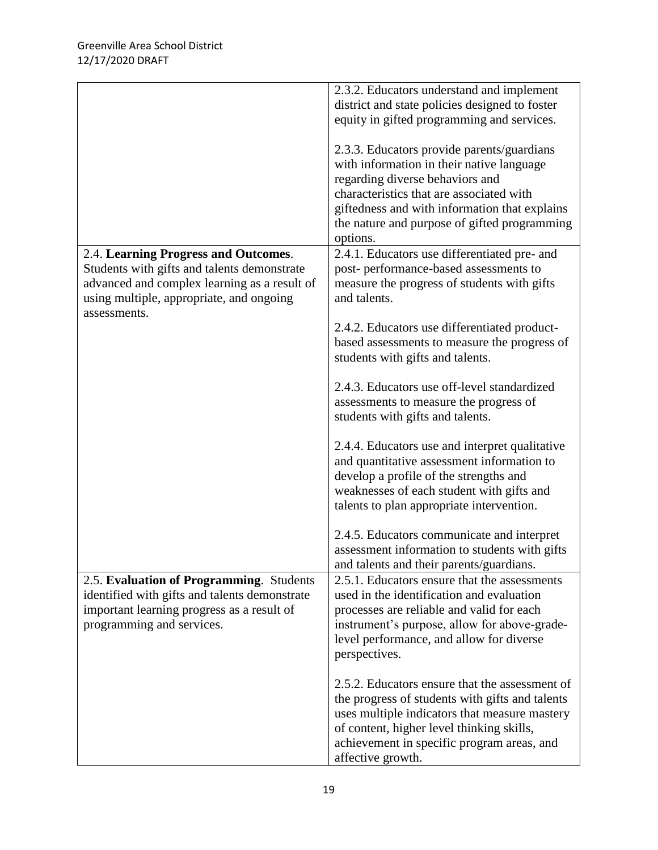|                                                                                                                                                                                                 | 2.3.2. Educators understand and implement<br>district and state policies designed to foster                                                                                                                                                                             |
|-------------------------------------------------------------------------------------------------------------------------------------------------------------------------------------------------|-------------------------------------------------------------------------------------------------------------------------------------------------------------------------------------------------------------------------------------------------------------------------|
|                                                                                                                                                                                                 | equity in gifted programming and services.                                                                                                                                                                                                                              |
|                                                                                                                                                                                                 | 2.3.3. Educators provide parents/guardians<br>with information in their native language<br>regarding diverse behaviors and<br>characteristics that are associated with<br>giftedness and with information that explains<br>the nature and purpose of gifted programming |
|                                                                                                                                                                                                 | options.                                                                                                                                                                                                                                                                |
| 2.4. Learning Progress and Outcomes.<br>Students with gifts and talents demonstrate<br>advanced and complex learning as a result of<br>using multiple, appropriate, and ongoing<br>assessments. | 2.4.1. Educators use differentiated pre- and<br>post- performance-based assessments to<br>measure the progress of students with gifts<br>and talents.                                                                                                                   |
|                                                                                                                                                                                                 | 2.4.2. Educators use differentiated product-<br>based assessments to measure the progress of<br>students with gifts and talents.                                                                                                                                        |
|                                                                                                                                                                                                 | 2.4.3. Educators use off-level standardized<br>assessments to measure the progress of<br>students with gifts and talents.                                                                                                                                               |
|                                                                                                                                                                                                 | 2.4.4. Educators use and interpret qualitative<br>and quantitative assessment information to<br>develop a profile of the strengths and<br>weaknesses of each student with gifts and<br>talents to plan appropriate intervention.                                        |
|                                                                                                                                                                                                 | 2.4.5. Educators communicate and interpret<br>assessment information to students with gifts<br>and talents and their parents/guardians.                                                                                                                                 |
| 2.5. Evaluation of Programming. Students<br>identified with gifts and talents demonstrate<br>important learning progress as a result of<br>programming and services.                            | 2.5.1. Educators ensure that the assessments<br>used in the identification and evaluation<br>processes are reliable and valid for each<br>instrument's purpose, allow for above-grade-<br>level performance, and allow for diverse<br>perspectives.                     |
|                                                                                                                                                                                                 | 2.5.2. Educators ensure that the assessment of<br>the progress of students with gifts and talents<br>uses multiple indicators that measure mastery<br>of content, higher level thinking skills,<br>achievement in specific program areas, and<br>affective growth.      |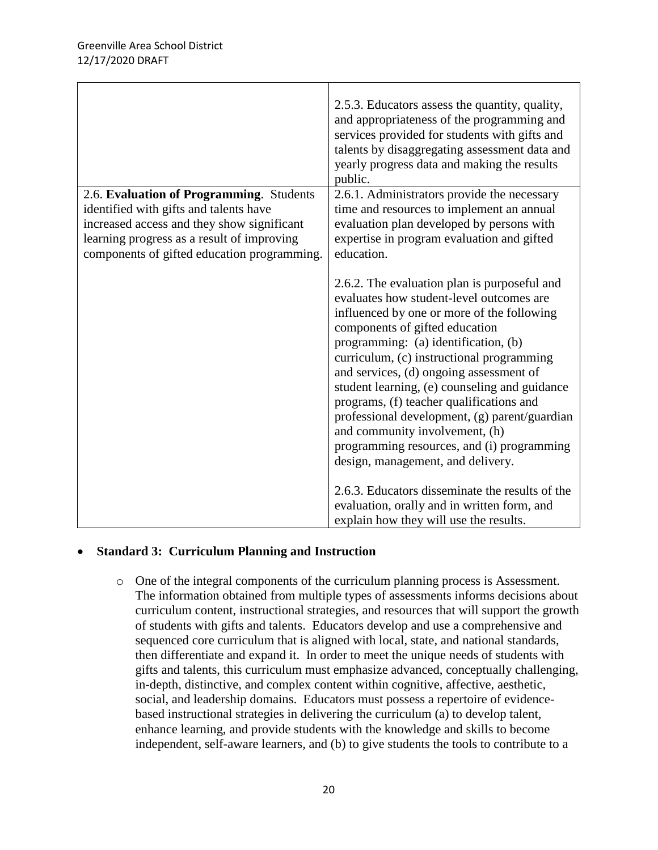|                                             | 2.5.3. Educators assess the quantity, quality,<br>and appropriateness of the programming and<br>services provided for students with gifts and<br>talents by disaggregating assessment data and<br>yearly progress data and making the results<br>public.                                                                                                                                                                                                                                                                                                                    |
|---------------------------------------------|-----------------------------------------------------------------------------------------------------------------------------------------------------------------------------------------------------------------------------------------------------------------------------------------------------------------------------------------------------------------------------------------------------------------------------------------------------------------------------------------------------------------------------------------------------------------------------|
| 2.6. Evaluation of Programming. Students    | 2.6.1. Administrators provide the necessary                                                                                                                                                                                                                                                                                                                                                                                                                                                                                                                                 |
| identified with gifts and talents have      | time and resources to implement an annual                                                                                                                                                                                                                                                                                                                                                                                                                                                                                                                                   |
| increased access and they show significant  | evaluation plan developed by persons with                                                                                                                                                                                                                                                                                                                                                                                                                                                                                                                                   |
| learning progress as a result of improving  | expertise in program evaluation and gifted                                                                                                                                                                                                                                                                                                                                                                                                                                                                                                                                  |
| components of gifted education programming. | education.                                                                                                                                                                                                                                                                                                                                                                                                                                                                                                                                                                  |
|                                             | 2.6.2. The evaluation plan is purposeful and<br>evaluates how student-level outcomes are<br>influenced by one or more of the following<br>components of gifted education<br>programming: (a) identification, (b)<br>curriculum, (c) instructional programming<br>and services, (d) ongoing assessment of<br>student learning, (e) counseling and guidance<br>programs, (f) teacher qualifications and<br>professional development, (g) parent/guardian<br>and community involvement, (h)<br>programming resources, and (i) programming<br>design, management, and delivery. |
|                                             | 2.6.3. Educators disseminate the results of the<br>evaluation, orally and in written form, and<br>explain how they will use the results.                                                                                                                                                                                                                                                                                                                                                                                                                                    |

## • **Standard 3: Curriculum Planning and Instruction**

o One of the integral components of the curriculum planning process is Assessment. The information obtained from multiple types of assessments informs decisions about curriculum content, instructional strategies, and resources that will support the growth of students with gifts and talents. Educators develop and use a comprehensive and sequenced core curriculum that is aligned with local, state, and national standards, then differentiate and expand it. In order to meet the unique needs of students with gifts and talents, this curriculum must emphasize advanced, conceptually challenging, in-depth, distinctive, and complex content within cognitive, affective, aesthetic, social, and leadership domains. Educators must possess a repertoire of evidencebased instructional strategies in delivering the curriculum (a) to develop talent, enhance learning, and provide students with the knowledge and skills to become independent, self-aware learners, and (b) to give students the tools to contribute to a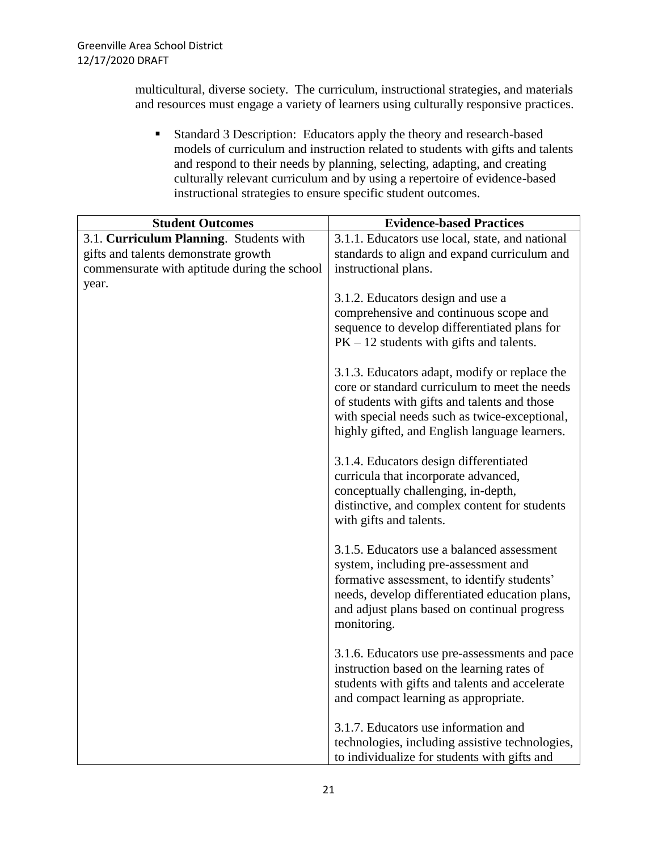multicultural, diverse society. The curriculum, instructional strategies, and materials and resources must engage a variety of learners using culturally responsive practices.

■ Standard 3 Description: Educators apply the theory and research-based models of curriculum and instruction related to students with gifts and talents and respond to their needs by planning, selecting, adapting, and creating culturally relevant curriculum and by using a repertoire of evidence-based instructional strategies to ensure specific student outcomes.

| <b>Student Outcomes</b>                      | <b>Evidence-based Practices</b>                                                                                                                                                                                                                    |
|----------------------------------------------|----------------------------------------------------------------------------------------------------------------------------------------------------------------------------------------------------------------------------------------------------|
| 3.1. Curriculum Planning. Students with      | 3.1.1. Educators use local, state, and national                                                                                                                                                                                                    |
| gifts and talents demonstrate growth         | standards to align and expand curriculum and                                                                                                                                                                                                       |
| commensurate with aptitude during the school | instructional plans.                                                                                                                                                                                                                               |
| year.                                        |                                                                                                                                                                                                                                                    |
|                                              | 3.1.2. Educators design and use a                                                                                                                                                                                                                  |
|                                              | comprehensive and continuous scope and                                                                                                                                                                                                             |
|                                              | sequence to develop differentiated plans for                                                                                                                                                                                                       |
|                                              | $PK - 12$ students with gifts and talents.                                                                                                                                                                                                         |
|                                              | 3.1.3. Educators adapt, modify or replace the<br>core or standard curriculum to meet the needs<br>of students with gifts and talents and those<br>with special needs such as twice-exceptional,<br>highly gifted, and English language learners.   |
|                                              | 3.1.4. Educators design differentiated<br>curricula that incorporate advanced,<br>conceptually challenging, in-depth,<br>distinctive, and complex content for students<br>with gifts and talents.                                                  |
|                                              | 3.1.5. Educators use a balanced assessment<br>system, including pre-assessment and<br>formative assessment, to identify students'<br>needs, develop differentiated education plans,<br>and adjust plans based on continual progress<br>monitoring. |
|                                              | 3.1.6. Educators use pre-assessments and pace<br>instruction based on the learning rates of<br>students with gifts and talents and accelerate<br>and compact learning as appropriate.                                                              |
|                                              | 3.1.7. Educators use information and<br>technologies, including assistive technologies,<br>to individualize for students with gifts and                                                                                                            |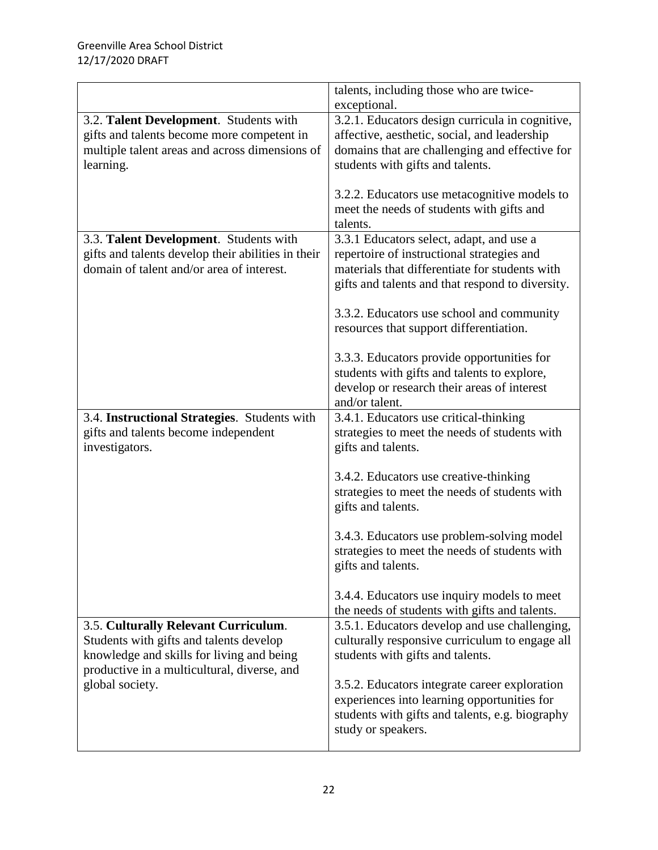|                                                    | talents, including those who are twice-                                                               |
|----------------------------------------------------|-------------------------------------------------------------------------------------------------------|
|                                                    | exceptional.                                                                                          |
| 3.2. Talent Development. Students with             | 3.2.1. Educators design curricula in cognitive,                                                       |
| gifts and talents become more competent in         | affective, aesthetic, social, and leadership                                                          |
| multiple talent areas and across dimensions of     | domains that are challenging and effective for                                                        |
| learning.                                          | students with gifts and talents.                                                                      |
|                                                    | 3.2.2. Educators use metacognitive models to<br>meet the needs of students with gifts and<br>talents. |
| 3.3. Talent Development. Students with             | 3.3.1 Educators select, adapt, and use a                                                              |
| gifts and talents develop their abilities in their | repertoire of instructional strategies and                                                            |
| domain of talent and/or area of interest.          | materials that differentiate for students with                                                        |
|                                                    | gifts and talents and that respond to diversity.                                                      |
|                                                    | 3.3.2. Educators use school and community                                                             |
|                                                    | resources that support differentiation.                                                               |
|                                                    |                                                                                                       |
|                                                    | 3.3.3. Educators provide opportunities for                                                            |
|                                                    | students with gifts and talents to explore,                                                           |
|                                                    | develop or research their areas of interest                                                           |
|                                                    | and/or talent.                                                                                        |
| 3.4. Instructional Strategies. Students with       | 3.4.1. Educators use critical-thinking                                                                |
| gifts and talents become independent               | strategies to meet the needs of students with                                                         |
| investigators.                                     | gifts and talents.                                                                                    |
|                                                    | 3.4.2. Educators use creative-thinking                                                                |
|                                                    | strategies to meet the needs of students with                                                         |
|                                                    | gifts and talents.                                                                                    |
|                                                    |                                                                                                       |
|                                                    | 3.4.3. Educators use problem-solving model                                                            |
|                                                    | strategies to meet the needs of students with                                                         |
|                                                    | gifts and talents.                                                                                    |
|                                                    |                                                                                                       |
|                                                    | 3.4.4. Educators use inquiry models to meet<br>the needs of students with gifts and talents.          |
| 3.5. Culturally Relevant Curriculum.               | 3.5.1. Educators develop and use challenging,                                                         |
| Students with gifts and talents develop            | culturally responsive curriculum to engage all                                                        |
| knowledge and skills for living and being          | students with gifts and talents.                                                                      |
| productive in a multicultural, diverse, and        |                                                                                                       |
| global society.                                    | 3.5.2. Educators integrate career exploration                                                         |
|                                                    | experiences into learning opportunities for                                                           |
|                                                    | students with gifts and talents, e.g. biography                                                       |
|                                                    | study or speakers.                                                                                    |
|                                                    |                                                                                                       |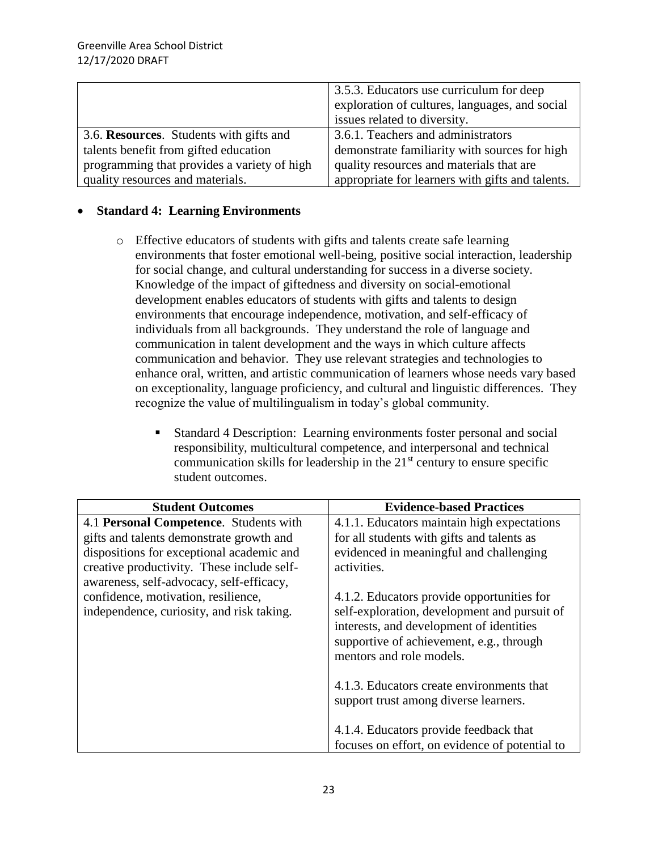|                                             | 3.5.3. Educators use curriculum for deep         |
|---------------------------------------------|--------------------------------------------------|
|                                             | exploration of cultures, languages, and social   |
|                                             | issues related to diversity.                     |
| 3.6. Resources. Students with gifts and     | 3.6.1. Teachers and administrators               |
| talents benefit from gifted education       | demonstrate familiarity with sources for high    |
| programming that provides a variety of high | quality resources and materials that are         |
| quality resources and materials.            | appropriate for learners with gifts and talents. |

## • **Standard 4: Learning Environments**

- o Effective educators of students with gifts and talents create safe learning environments that foster emotional well-being, positive social interaction, leadership for social change, and cultural understanding for success in a diverse society. Knowledge of the impact of giftedness and diversity on social-emotional development enables educators of students with gifts and talents to design environments that encourage independence, motivation, and self-efficacy of individuals from all backgrounds. They understand the role of language and communication in talent development and the ways in which culture affects communication and behavior. They use relevant strategies and technologies to enhance oral, written, and artistic communication of learners whose needs vary based on exceptionality, language proficiency, and cultural and linguistic differences. They recognize the value of multilingualism in today's global community.
	- Standard 4 Description: Learning environments foster personal and social responsibility, multicultural competence, and interpersonal and technical communication skills for leadership in the  $21<sup>st</sup>$  century to ensure specific student outcomes.

| <b>Student Outcomes</b>                    | <b>Evidence-based Practices</b>                |
|--------------------------------------------|------------------------------------------------|
| 4.1 Personal Competence. Students with     | 4.1.1. Educators maintain high expectations    |
| gifts and talents demonstrate growth and   | for all students with gifts and talents as     |
| dispositions for exceptional academic and  | evidenced in meaningful and challenging        |
| creative productivity. These include self- | activities.                                    |
| awareness, self-advocacy, self-efficacy,   |                                                |
| confidence, motivation, resilience,        | 4.1.2. Educators provide opportunities for     |
| independence, curiosity, and risk taking.  | self-exploration, development and pursuit of   |
|                                            | interests, and development of identities       |
|                                            | supportive of achievement, e.g., through       |
|                                            | mentors and role models.                       |
|                                            |                                                |
|                                            | 4.1.3. Educators create environments that      |
|                                            | support trust among diverse learners.          |
|                                            |                                                |
|                                            | 4.1.4. Educators provide feedback that         |
|                                            | focuses on effort, on evidence of potential to |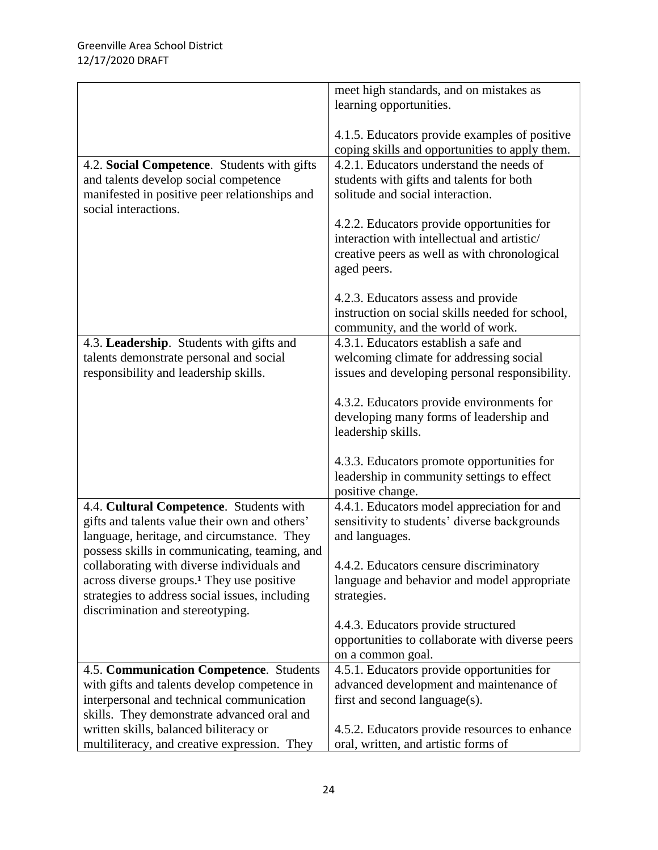|                                                                                                         | meet high standards, and on mistakes as                                                         |
|---------------------------------------------------------------------------------------------------------|-------------------------------------------------------------------------------------------------|
|                                                                                                         | learning opportunities.                                                                         |
|                                                                                                         | 4.1.5. Educators provide examples of positive<br>coping skills and opportunities to apply them. |
| 4.2. Social Competence. Students with gifts                                                             | 4.2.1. Educators understand the needs of                                                        |
| and talents develop social competence<br>manifested in positive peer relationships and                  | students with gifts and talents for both<br>solitude and social interaction.                    |
| social interactions.                                                                                    |                                                                                                 |
|                                                                                                         | 4.2.2. Educators provide opportunities for                                                      |
|                                                                                                         | interaction with intellectual and artistic/                                                     |
|                                                                                                         | creative peers as well as with chronological                                                    |
|                                                                                                         | aged peers.                                                                                     |
|                                                                                                         | 4.2.3. Educators assess and provide                                                             |
|                                                                                                         | instruction on social skills needed for school,                                                 |
|                                                                                                         | community, and the world of work.                                                               |
| 4.3. Leadership. Students with gifts and<br>talents demonstrate personal and social                     | 4.3.1. Educators establish a safe and<br>welcoming climate for addressing social                |
| responsibility and leadership skills.                                                                   | issues and developing personal responsibility.                                                  |
|                                                                                                         |                                                                                                 |
|                                                                                                         | 4.3.2. Educators provide environments for                                                       |
|                                                                                                         | developing many forms of leadership and<br>leadership skills.                                   |
|                                                                                                         |                                                                                                 |
|                                                                                                         | 4.3.3. Educators promote opportunities for                                                      |
|                                                                                                         | leadership in community settings to effect                                                      |
|                                                                                                         | positive change.                                                                                |
| 4.4. Cultural Competence. Students with<br>gifts and talents value their own and others'                | 4.4.1. Educators model appreciation for and<br>sensitivity to students' diverse backgrounds     |
| language, heritage, and circumstance. They                                                              | and languages.                                                                                  |
| possess skills in communicating, teaming, and                                                           |                                                                                                 |
| collaborating with diverse individuals and                                                              | 4.4.2. Educators censure discriminatory                                                         |
| across diverse groups. <sup>1</sup> They use positive<br>strategies to address social issues, including | language and behavior and model appropriate<br>strategies.                                      |
| discrimination and stereotyping.                                                                        |                                                                                                 |
|                                                                                                         | 4.4.3. Educators provide structured                                                             |
|                                                                                                         | opportunities to collaborate with diverse peers                                                 |
|                                                                                                         | on a common goal.                                                                               |
| 4.5. Communication Competence. Students<br>with gifts and talents develop competence in                 | 4.5.1. Educators provide opportunities for<br>advanced development and maintenance of           |
| interpersonal and technical communication                                                               | first and second language(s).                                                                   |
| skills. They demonstrate advanced oral and                                                              |                                                                                                 |
| written skills, balanced biliteracy or                                                                  | 4.5.2. Educators provide resources to enhance                                                   |
| multiliteracy, and creative expression. They                                                            | oral, written, and artistic forms of                                                            |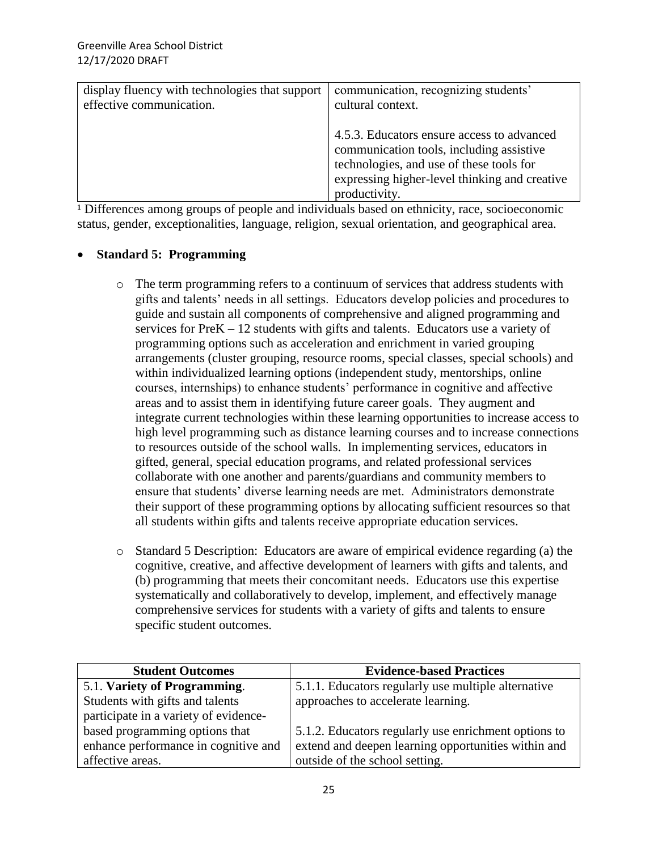| display fluency with technologies that support | communication, recognizing students'                                                                                                                                                                 |
|------------------------------------------------|------------------------------------------------------------------------------------------------------------------------------------------------------------------------------------------------------|
| effective communication.                       | cultural context.                                                                                                                                                                                    |
|                                                | 4.5.3. Educators ensure access to advanced<br>communication tools, including assistive<br>technologies, and use of these tools for<br>expressing higher-level thinking and creative<br>productivity. |

<sup>1</sup> Differences among groups of people and individuals based on ethnicity, race, socioeconomic status, gender, exceptionalities, language, religion, sexual orientation, and geographical area.

## • **Standard 5: Programming**

- o The term programming refers to a continuum of services that address students with gifts and talents' needs in all settings. Educators develop policies and procedures to guide and sustain all components of comprehensive and aligned programming and services for PreK – 12 students with gifts and talents. Educators use a variety of programming options such as acceleration and enrichment in varied grouping arrangements (cluster grouping, resource rooms, special classes, special schools) and within individualized learning options (independent study, mentorships, online courses, internships) to enhance students' performance in cognitive and affective areas and to assist them in identifying future career goals. They augment and integrate current technologies within these learning opportunities to increase access to high level programming such as distance learning courses and to increase connections to resources outside of the school walls. In implementing services, educators in gifted, general, special education programs, and related professional services collaborate with one another and parents/guardians and community members to ensure that students' diverse learning needs are met. Administrators demonstrate their support of these programming options by allocating sufficient resources so that all students within gifts and talents receive appropriate education services.
- o Standard 5 Description: Educators are aware of empirical evidence regarding (a) the cognitive, creative, and affective development of learners with gifts and talents, and (b) programming that meets their concomitant needs. Educators use this expertise systematically and collaboratively to develop, implement, and effectively manage comprehensive services for students with a variety of gifts and talents to ensure specific student outcomes.

| <b>Student Outcomes</b>               | <b>Evidence-based Practices</b>                      |
|---------------------------------------|------------------------------------------------------|
| 5.1. Variety of Programming.          | 5.1.1. Educators regularly use multiple alternative  |
| Students with gifts and talents       | approaches to accelerate learning.                   |
| participate in a variety of evidence- |                                                      |
| based programming options that        | 5.1.2. Educators regularly use enrichment options to |
| enhance performance in cognitive and  | extend and deepen learning opportunities within and  |
| affective areas.                      | outside of the school setting.                       |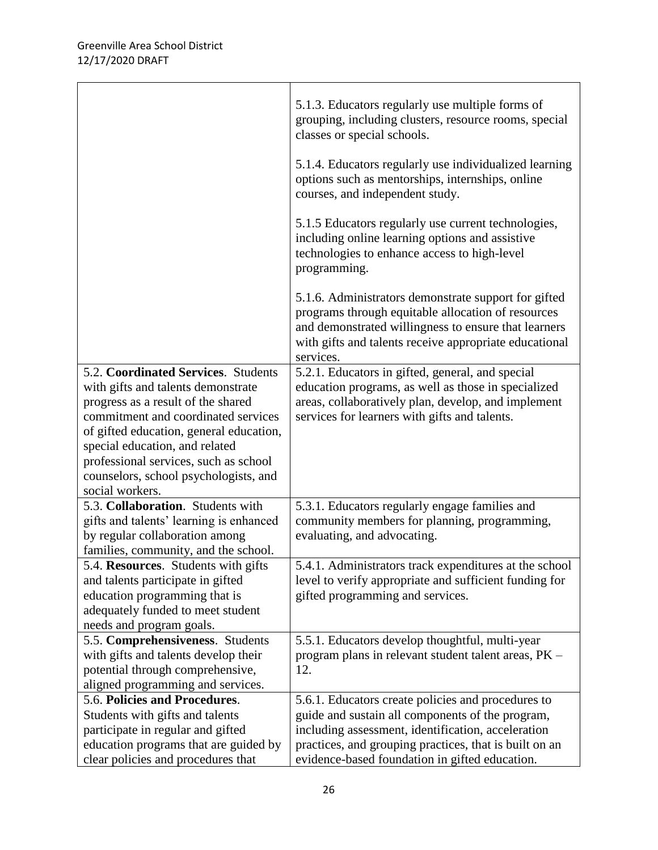|                                                                                | 5.1.3. Educators regularly use multiple forms of<br>grouping, including clusters, resource rooms, special<br>classes or special schools.<br>5.1.4. Educators regularly use individualized learning<br>options such as mentorships, internships, online |
|--------------------------------------------------------------------------------|--------------------------------------------------------------------------------------------------------------------------------------------------------------------------------------------------------------------------------------------------------|
|                                                                                | courses, and independent study.                                                                                                                                                                                                                        |
|                                                                                | 5.1.5 Educators regularly use current technologies,<br>including online learning options and assistive<br>technologies to enhance access to high-level<br>programming.                                                                                 |
|                                                                                | 5.1.6. Administrators demonstrate support for gifted<br>programs through equitable allocation of resources<br>and demonstrated willingness to ensure that learners<br>with gifts and talents receive appropriate educational<br>services.              |
| 5.2. Coordinated Services. Students                                            | 5.2.1. Educators in gifted, general, and special                                                                                                                                                                                                       |
| with gifts and talents demonstrate                                             | education programs, as well as those in specialized                                                                                                                                                                                                    |
| progress as a result of the shared                                             | areas, collaboratively plan, develop, and implement                                                                                                                                                                                                    |
| commitment and coordinated services                                            | services for learners with gifts and talents.                                                                                                                                                                                                          |
| of gifted education, general education,                                        |                                                                                                                                                                                                                                                        |
| special education, and related                                                 |                                                                                                                                                                                                                                                        |
| professional services, such as school<br>counselors, school psychologists, and |                                                                                                                                                                                                                                                        |
| social workers.                                                                |                                                                                                                                                                                                                                                        |
| 5.3. Collaboration. Students with                                              | 5.3.1. Educators regularly engage families and                                                                                                                                                                                                         |
| gifts and talents' learning is enhanced                                        | community members for planning, programming,                                                                                                                                                                                                           |
| by regular collaboration among                                                 | evaluating, and advocating.                                                                                                                                                                                                                            |
| families, community, and the school.                                           |                                                                                                                                                                                                                                                        |
| 5.4. Resources. Students with gifts                                            | 5.4.1. Administrators track expenditures at the school                                                                                                                                                                                                 |
| and talents participate in gifted                                              | level to verify appropriate and sufficient funding for                                                                                                                                                                                                 |
| education programming that is                                                  | gifted programming and services.                                                                                                                                                                                                                       |
| adequately funded to meet student                                              |                                                                                                                                                                                                                                                        |
| needs and program goals.                                                       |                                                                                                                                                                                                                                                        |
| 5.5. Comprehensiveness. Students                                               | 5.5.1. Educators develop thoughtful, multi-year                                                                                                                                                                                                        |
| with gifts and talents develop their                                           | program plans in relevant student talent areas, PK -                                                                                                                                                                                                   |
| potential through comprehensive,<br>aligned programming and services.          | 12.                                                                                                                                                                                                                                                    |
| 5.6. Policies and Procedures.                                                  | 5.6.1. Educators create policies and procedures to                                                                                                                                                                                                     |
| Students with gifts and talents                                                | guide and sustain all components of the program,                                                                                                                                                                                                       |
| participate in regular and gifted                                              | including assessment, identification, acceleration                                                                                                                                                                                                     |
| education programs that are guided by                                          | practices, and grouping practices, that is built on an                                                                                                                                                                                                 |
| clear policies and procedures that                                             | evidence-based foundation in gifted education.                                                                                                                                                                                                         |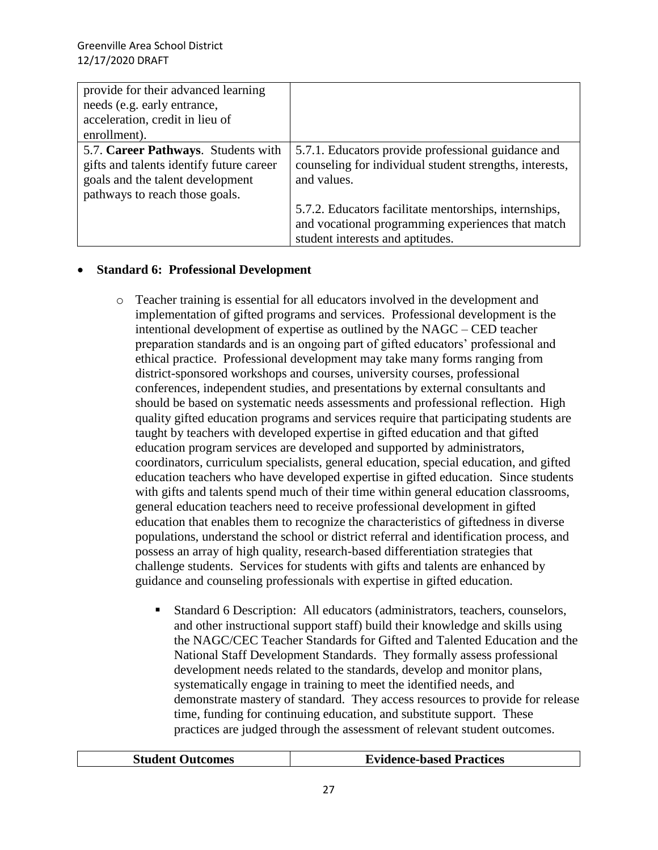| provide for their advanced learning<br>needs (e.g. early entrance,<br>acceleration, credit in lieu of                                                 |                                                                                                                              |
|-------------------------------------------------------------------------------------------------------------------------------------------------------|------------------------------------------------------------------------------------------------------------------------------|
| enrollment).                                                                                                                                          |                                                                                                                              |
| 5.7. Career Pathways. Students with<br>gifts and talents identify future career<br>goals and the talent development<br>pathways to reach those goals. | 5.7.1. Educators provide professional guidance and<br>counseling for individual student strengths, interests,<br>and values. |
|                                                                                                                                                       | 5.7.2. Educators facilitate mentorships, internships,                                                                        |
|                                                                                                                                                       | and vocational programming experiences that match                                                                            |
|                                                                                                                                                       | student interests and aptitudes.                                                                                             |

## • **Standard 6: Professional Development**

- o Teacher training is essential for all educators involved in the development and implementation of gifted programs and services. Professional development is the intentional development of expertise as outlined by the NAGC – CED teacher preparation standards and is an ongoing part of gifted educators' professional and ethical practice. Professional development may take many forms ranging from district-sponsored workshops and courses, university courses, professional conferences, independent studies, and presentations by external consultants and should be based on systematic needs assessments and professional reflection. High quality gifted education programs and services require that participating students are taught by teachers with developed expertise in gifted education and that gifted education program services are developed and supported by administrators, coordinators, curriculum specialists, general education, special education, and gifted education teachers who have developed expertise in gifted education. Since students with gifts and talents spend much of their time within general education classrooms, general education teachers need to receive professional development in gifted education that enables them to recognize the characteristics of giftedness in diverse populations, understand the school or district referral and identification process, and possess an array of high quality, research-based differentiation strategies that challenge students. Services for students with gifts and talents are enhanced by guidance and counseling professionals with expertise in gifted education.
	- Standard 6 Description: All educators (administrators, teachers, counselors, and other instructional support staff) build their knowledge and skills using the NAGC/CEC Teacher Standards for Gifted and Talented Education and the National Staff Development Standards. They formally assess professional development needs related to the standards, develop and monitor plans, systematically engage in training to meet the identified needs, and demonstrate mastery of standard. They access resources to provide for release time, funding for continuing education, and substitute support. These practices are judged through the assessment of relevant student outcomes.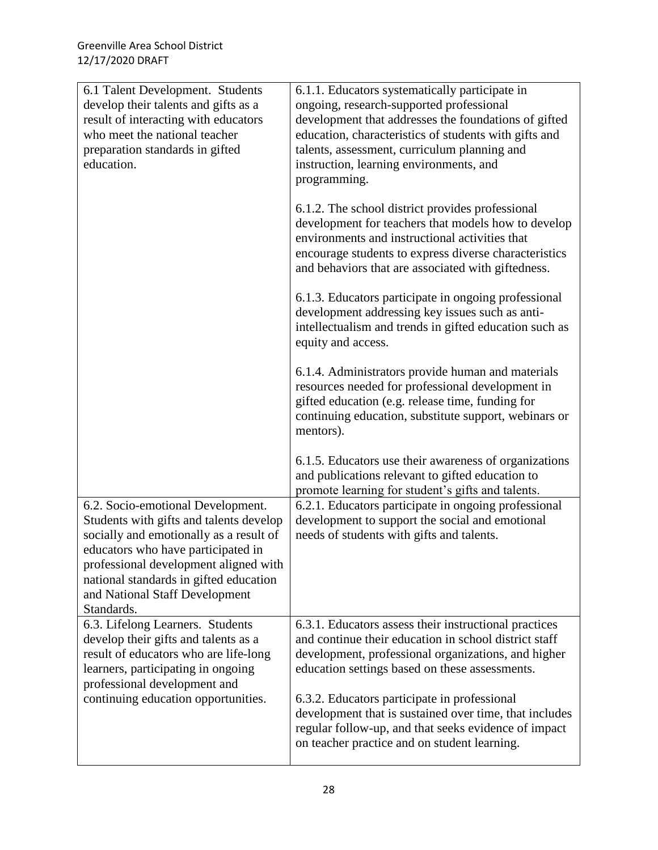| 6.1 Talent Development. Students<br>develop their talents and gifts as a<br>result of interacting with educators<br>who meet the national teacher<br>preparation standards in gifted<br>education.                                                                                               | 6.1.1. Educators systematically participate in<br>ongoing, research-supported professional<br>development that addresses the foundations of gifted<br>education, characteristics of students with gifts and<br>talents, assessment, curriculum planning and<br>instruction, learning environments, and<br>programming. |
|--------------------------------------------------------------------------------------------------------------------------------------------------------------------------------------------------------------------------------------------------------------------------------------------------|------------------------------------------------------------------------------------------------------------------------------------------------------------------------------------------------------------------------------------------------------------------------------------------------------------------------|
|                                                                                                                                                                                                                                                                                                  | 6.1.2. The school district provides professional<br>development for teachers that models how to develop<br>environments and instructional activities that<br>encourage students to express diverse characteristics<br>and behaviors that are associated with giftedness.                                               |
|                                                                                                                                                                                                                                                                                                  | 6.1.3. Educators participate in ongoing professional<br>development addressing key issues such as anti-<br>intellectualism and trends in gifted education such as<br>equity and access.                                                                                                                                |
|                                                                                                                                                                                                                                                                                                  | 6.1.4. Administrators provide human and materials<br>resources needed for professional development in<br>gifted education (e.g. release time, funding for<br>continuing education, substitute support, webinars or<br>mentors).                                                                                        |
|                                                                                                                                                                                                                                                                                                  | 6.1.5. Educators use their awareness of organizations<br>and publications relevant to gifted education to<br>promote learning for student's gifts and talents.                                                                                                                                                         |
| 6.2. Socio-emotional Development.<br>Students with gifts and talents develop<br>socially and emotionally as a result of<br>educators who have participated in<br>professional development aligned with<br>national standards in gifted education<br>and National Staff Development<br>Standards. | 6.2.1. Educators participate in ongoing professional<br>development to support the social and emotional<br>needs of students with gifts and talents.                                                                                                                                                                   |
| 6.3. Lifelong Learners. Students<br>develop their gifts and talents as a<br>result of educators who are life-long<br>learners, participating in ongoing                                                                                                                                          | 6.3.1. Educators assess their instructional practices<br>and continue their education in school district staff<br>development, professional organizations, and higher<br>education settings based on these assessments.                                                                                                |
| professional development and<br>continuing education opportunities.                                                                                                                                                                                                                              | 6.3.2. Educators participate in professional<br>development that is sustained over time, that includes<br>regular follow-up, and that seeks evidence of impact<br>on teacher practice and on student learning.                                                                                                         |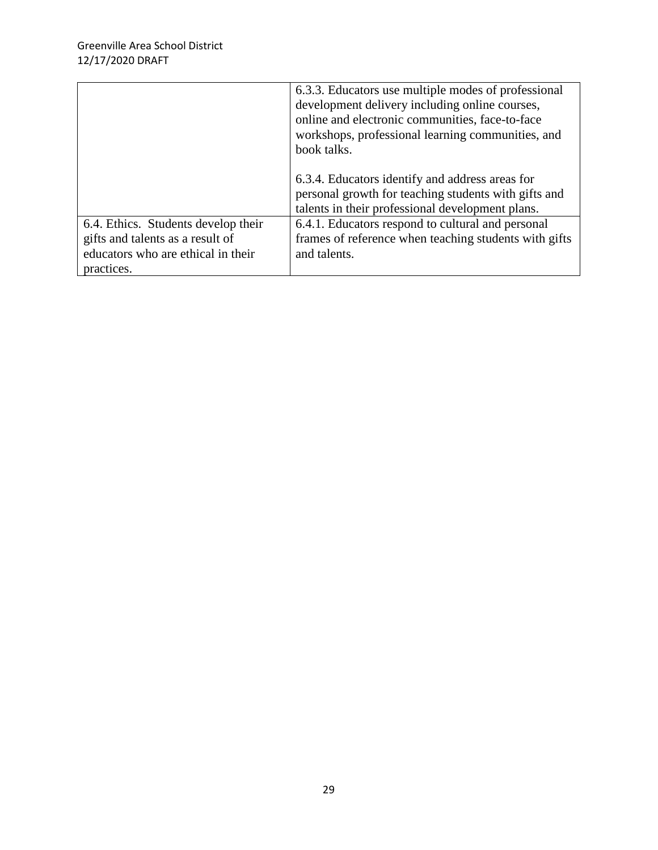|                                     | 6.3.3. Educators use multiple modes of professional<br>development delivery including online courses,<br>online and electronic communities, face-to-face<br>workshops, professional learning communities, and<br>book talks. |
|-------------------------------------|------------------------------------------------------------------------------------------------------------------------------------------------------------------------------------------------------------------------------|
|                                     | 6.3.4. Educators identify and address areas for<br>personal growth for teaching students with gifts and<br>talents in their professional development plans.                                                                  |
| 6.4. Ethics. Students develop their | 6.4.1. Educators respond to cultural and personal                                                                                                                                                                            |
| gifts and talents as a result of    | frames of reference when teaching students with gifts                                                                                                                                                                        |
| educators who are ethical in their  | and talents.                                                                                                                                                                                                                 |
| practices.                          |                                                                                                                                                                                                                              |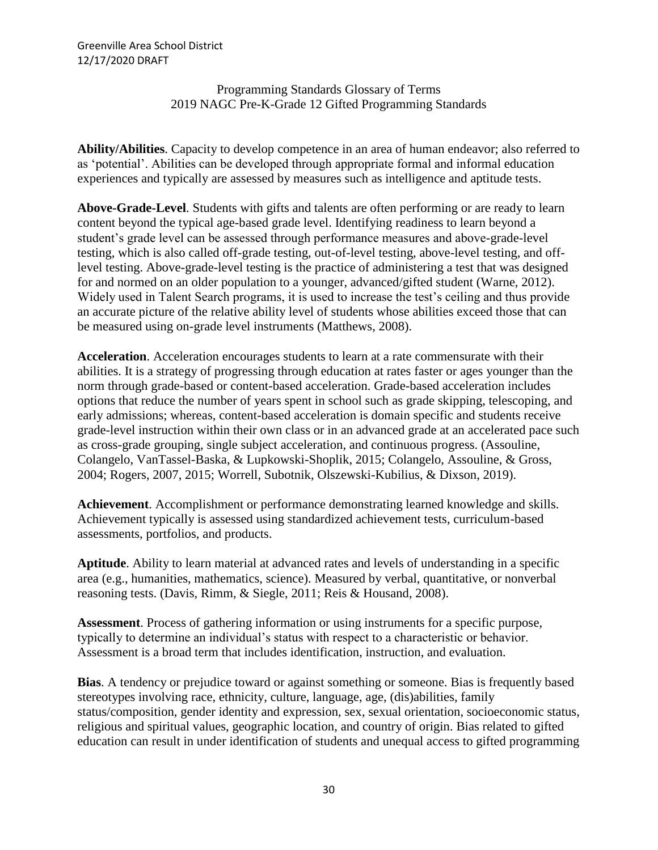Programming Standards Glossary of Terms 2019 NAGC Pre-K-Grade 12 Gifted Programming Standards

**Ability/Abilities**. Capacity to develop competence in an area of human endeavor; also referred to as 'potential'. Abilities can be developed through appropriate formal and informal education experiences and typically are assessed by measures such as intelligence and aptitude tests.

**Above-Grade-Level**. Students with gifts and talents are often performing or are ready to learn content beyond the typical age-based grade level. Identifying readiness to learn beyond a student's grade level can be assessed through performance measures and above-grade-level testing, which is also called off-grade testing, out-of-level testing, above-level testing, and offlevel testing. Above-grade-level testing is the practice of administering a test that was designed for and normed on an older population to a younger, advanced/gifted student (Warne, 2012). Widely used in Talent Search programs, it is used to increase the test's ceiling and thus provide an accurate picture of the relative ability level of students whose abilities exceed those that can be measured using on-grade level instruments (Matthews, 2008).

**Acceleration**. Acceleration encourages students to learn at a rate commensurate with their abilities. It is a strategy of progressing through education at rates faster or ages younger than the norm through grade-based or content-based acceleration. Grade-based acceleration includes options that reduce the number of years spent in school such as grade skipping, telescoping, and early admissions; whereas, content-based acceleration is domain specific and students receive grade-level instruction within their own class or in an advanced grade at an accelerated pace such as cross-grade grouping, single subject acceleration, and continuous progress. (Assouline, Colangelo, VanTassel-Baska, & Lupkowski-Shoplik, 2015; Colangelo, Assouline, & Gross, 2004; Rogers, 2007, 2015; Worrell, Subotnik, Olszewski-Kubilius, & Dixson, 2019).

**Achievement**. Accomplishment or performance demonstrating learned knowledge and skills. Achievement typically is assessed using standardized achievement tests, curriculum-based assessments, portfolios, and products.

**Aptitude**. Ability to learn material at advanced rates and levels of understanding in a specific area (e.g., humanities, mathematics, science). Measured by verbal, quantitative, or nonverbal reasoning tests. (Davis, Rimm, & Siegle, 2011; Reis & Housand, 2008).

**Assessment**. Process of gathering information or using instruments for a specific purpose, typically to determine an individual's status with respect to a characteristic or behavior. Assessment is a broad term that includes identification, instruction, and evaluation.

**Bias**. A tendency or prejudice toward or against something or someone. Bias is frequently based stereotypes involving race, ethnicity, culture, language, age, (dis)abilities, family status/composition, gender identity and expression, sex, sexual orientation, socioeconomic status, religious and spiritual values, geographic location, and country of origin. Bias related to gifted education can result in under identification of students and unequal access to gifted programming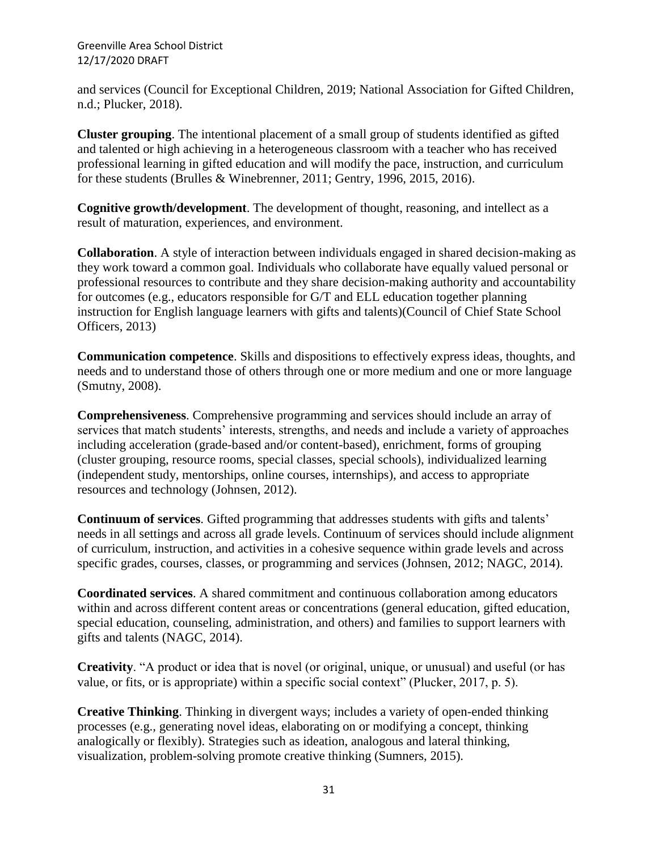and services (Council for Exceptional Children, 2019; National Association for Gifted Children, n.d.; Plucker, 2018).

**Cluster grouping**. The intentional placement of a small group of students identified as gifted and talented or high achieving in a heterogeneous classroom with a teacher who has received professional learning in gifted education and will modify the pace, instruction, and curriculum for these students (Brulles & Winebrenner, 2011; Gentry, 1996, 2015, 2016).

**Cognitive growth/development**. The development of thought, reasoning, and intellect as a result of maturation, experiences, and environment.

**Collaboration**. A style of interaction between individuals engaged in shared decision-making as they work toward a common goal. Individuals who collaborate have equally valued personal or professional resources to contribute and they share decision-making authority and accountability for outcomes (e.g., educators responsible for G/T and ELL education together planning instruction for English language learners with gifts and talents)(Council of Chief State School Officers, 2013)

**Communication competence**. Skills and dispositions to effectively express ideas, thoughts, and needs and to understand those of others through one or more medium and one or more language (Smutny, 2008).

**Comprehensiveness**. Comprehensive programming and services should include an array of services that match students' interests, strengths, and needs and include a variety of approaches including acceleration (grade-based and/or content-based), enrichment, forms of grouping (cluster grouping, resource rooms, special classes, special schools), individualized learning (independent study, mentorships, online courses, internships), and access to appropriate resources and technology (Johnsen, 2012).

**Continuum of services**. Gifted programming that addresses students with gifts and talents' needs in all settings and across all grade levels. Continuum of services should include alignment of curriculum, instruction, and activities in a cohesive sequence within grade levels and across specific grades, courses, classes, or programming and services (Johnsen, 2012; NAGC, 2014).

**Coordinated services**. A shared commitment and continuous collaboration among educators within and across different content areas or concentrations (general education, gifted education, special education, counseling, administration, and others) and families to support learners with gifts and talents (NAGC, 2014).

**Creativity**. "A product or idea that is novel (or original, unique, or unusual) and useful (or has value, or fits, or is appropriate) within a specific social context" (Plucker, 2017, p. 5).

**Creative Thinking**. Thinking in divergent ways; includes a variety of open-ended thinking processes (e.g., generating novel ideas, elaborating on or modifying a concept, thinking analogically or flexibly). Strategies such as ideation, analogous and lateral thinking, visualization, problem-solving promote creative thinking (Sumners, 2015).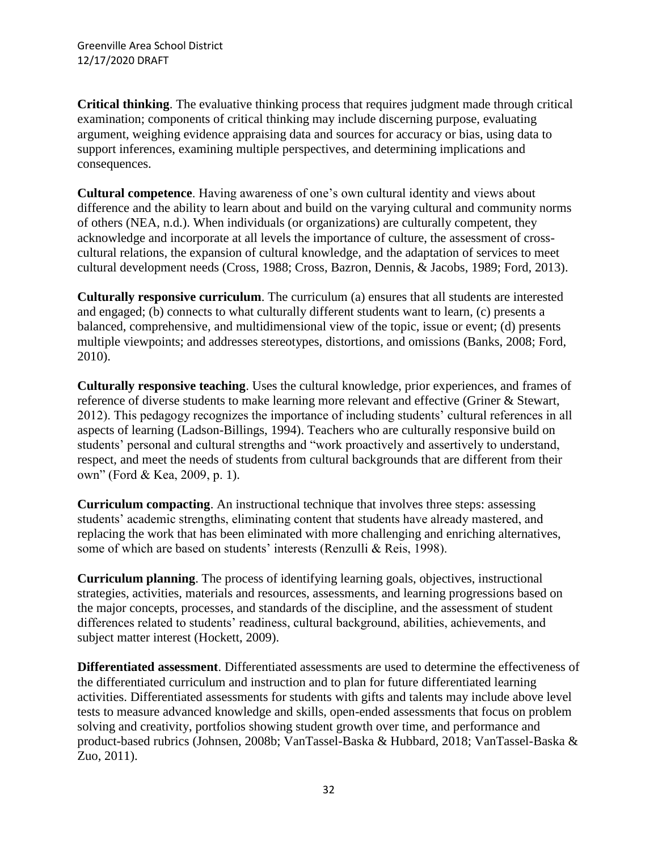**Critical thinking**. The evaluative thinking process that requires judgment made through critical examination; components of critical thinking may include discerning purpose, evaluating argument, weighing evidence appraising data and sources for accuracy or bias, using data to support inferences, examining multiple perspectives, and determining implications and consequences.

**Cultural competence**. Having awareness of one's own cultural identity and views about difference and the ability to learn about and build on the varying cultural and community norms of others (NEA, n.d.). When individuals (or organizations) are culturally competent, they acknowledge and incorporate at all levels the importance of culture, the assessment of crosscultural relations, the expansion of cultural knowledge, and the adaptation of services to meet cultural development needs (Cross, 1988; Cross, Bazron, Dennis, & Jacobs, 1989; Ford, 2013).

**Culturally responsive curriculum**. The curriculum (a) ensures that all students are interested and engaged; (b) connects to what culturally different students want to learn, (c) presents a balanced, comprehensive, and multidimensional view of the topic, issue or event; (d) presents multiple viewpoints; and addresses stereotypes, distortions, and omissions (Banks, 2008; Ford, 2010).

**Culturally responsive teaching**. Uses the cultural knowledge, prior experiences, and frames of reference of diverse students to make learning more relevant and effective (Griner & Stewart, 2012). This pedagogy recognizes the importance of including students' cultural references in all aspects of learning (Ladson-Billings, 1994). Teachers who are culturally responsive build on students' personal and cultural strengths and "work proactively and assertively to understand, respect, and meet the needs of students from cultural backgrounds that are different from their own" (Ford & Kea, 2009, p. 1).

**Curriculum compacting**. An instructional technique that involves three steps: assessing students' academic strengths, eliminating content that students have already mastered, and replacing the work that has been eliminated with more challenging and enriching alternatives, some of which are based on students' interests (Renzulli & Reis, 1998).

**Curriculum planning**. The process of identifying learning goals, objectives, instructional strategies, activities, materials and resources, assessments, and learning progressions based on the major concepts, processes, and standards of the discipline, and the assessment of student differences related to students' readiness, cultural background, abilities, achievements, and subject matter interest (Hockett, 2009).

**Differentiated assessment**. Differentiated assessments are used to determine the effectiveness of the differentiated curriculum and instruction and to plan for future differentiated learning activities. Differentiated assessments for students with gifts and talents may include above level tests to measure advanced knowledge and skills, open-ended assessments that focus on problem solving and creativity, portfolios showing student growth over time, and performance and product-based rubrics (Johnsen, 2008b; VanTassel-Baska & Hubbard, 2018; VanTassel-Baska & Zuo, 2011).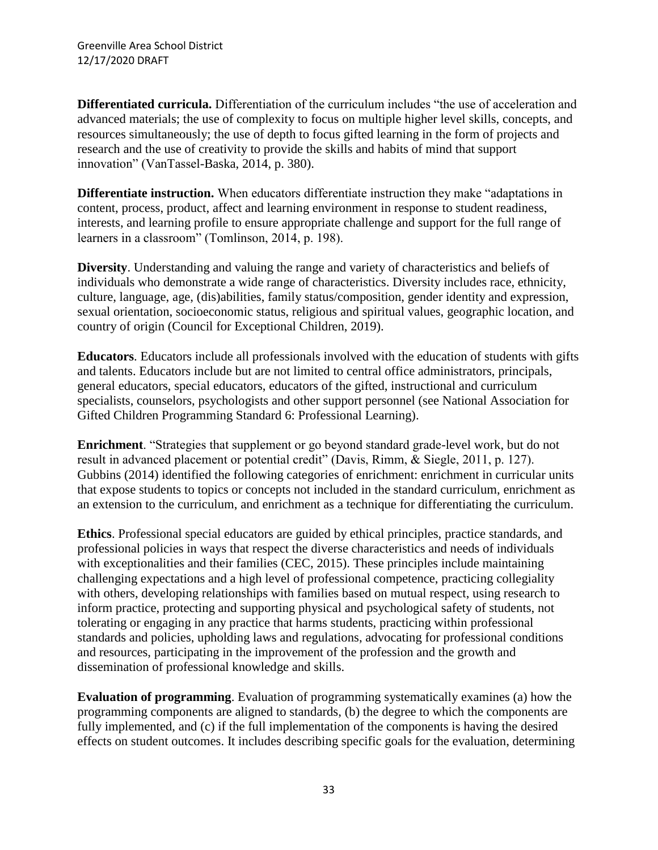**Differentiated curricula.** Differentiation of the curriculum includes "the use of acceleration and advanced materials; the use of complexity to focus on multiple higher level skills, concepts, and resources simultaneously; the use of depth to focus gifted learning in the form of projects and research and the use of creativity to provide the skills and habits of mind that support innovation" (VanTassel-Baska, 2014, p. 380).

**Differentiate instruction.** When educators differentiate instruction they make "adaptations in content, process, product, affect and learning environment in response to student readiness, interests, and learning profile to ensure appropriate challenge and support for the full range of learners in a classroom" (Tomlinson, 2014, p. 198).

**Diversity**. Understanding and valuing the range and variety of characteristics and beliefs of individuals who demonstrate a wide range of characteristics. Diversity includes race, ethnicity, culture, language, age, (dis)abilities, family status/composition, gender identity and expression, sexual orientation, socioeconomic status, religious and spiritual values, geographic location, and country of origin (Council for Exceptional Children, 2019).

**Educators**. Educators include all professionals involved with the education of students with gifts and talents. Educators include but are not limited to central office administrators, principals, general educators, special educators, educators of the gifted, instructional and curriculum specialists, counselors, psychologists and other support personnel (see National Association for Gifted Children Programming Standard 6: Professional Learning).

**Enrichment**. "Strategies that supplement or go beyond standard grade-level work, but do not result in advanced placement or potential credit" (Davis, Rimm, & Siegle, 2011, p. 127). Gubbins (2014) identified the following categories of enrichment: enrichment in curricular units that expose students to topics or concepts not included in the standard curriculum, enrichment as an extension to the curriculum, and enrichment as a technique for differentiating the curriculum.

**Ethics**. Professional special educators are guided by ethical principles, practice standards, and professional policies in ways that respect the diverse characteristics and needs of individuals with exceptionalities and their families (CEC, 2015). These principles include maintaining challenging expectations and a high level of professional competence, practicing collegiality with others, developing relationships with families based on mutual respect, using research to inform practice, protecting and supporting physical and psychological safety of students, not tolerating or engaging in any practice that harms students, practicing within professional standards and policies, upholding laws and regulations, advocating for professional conditions and resources, participating in the improvement of the profession and the growth and dissemination of professional knowledge and skills.

**Evaluation of programming**. Evaluation of programming systematically examines (a) how the programming components are aligned to standards, (b) the degree to which the components are fully implemented, and (c) if the full implementation of the components is having the desired effects on student outcomes. It includes describing specific goals for the evaluation, determining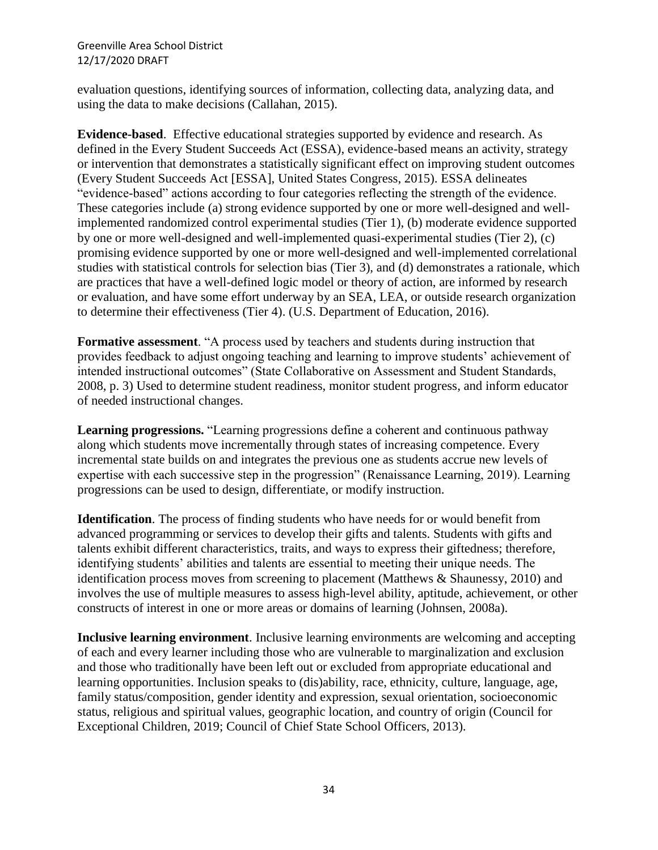evaluation questions, identifying sources of information, collecting data, analyzing data, and using the data to make decisions (Callahan, 2015).

**Evidence-based**. Effective educational strategies supported by evidence and research. As defined in the Every Student Succeeds Act (ESSA), evidence-based means an activity, strategy or intervention that demonstrates a statistically significant effect on improving student outcomes (Every Student Succeeds Act [ESSA], United States Congress, 2015). ESSA delineates "evidence-based" actions according to four categories reflecting the strength of the evidence. These categories include (a) strong evidence supported by one or more well-designed and wellimplemented randomized control experimental studies (Tier 1), (b) moderate evidence supported by one or more well-designed and well-implemented quasi-experimental studies (Tier 2), (c) promising evidence supported by one or more well-designed and well-implemented correlational studies with statistical controls for selection bias (Tier 3), and (d) demonstrates a rationale, which are practices that have a well-defined logic model or theory of action, are informed by research or evaluation, and have some effort underway by an SEA, LEA, or outside research organization to determine their effectiveness (Tier 4). (U.S. Department of Education, 2016).

**Formative assessment**. "A process used by teachers and students during instruction that provides feedback to adjust ongoing teaching and learning to improve students' achievement of intended instructional outcomes" (State Collaborative on Assessment and Student Standards, 2008, p. 3) Used to determine student readiness, monitor student progress, and inform educator of needed instructional changes.

**Learning progressions.** "Learning progressions define a coherent and continuous pathway along which students move incrementally through states of increasing competence. Every incremental state builds on and integrates the previous one as students accrue new levels of expertise with each successive step in the progression" (Renaissance Learning, 2019). Learning progressions can be used to design, differentiate, or modify instruction.

**Identification**. The process of finding students who have needs for or would benefit from advanced programming or services to develop their gifts and talents. Students with gifts and talents exhibit different characteristics, traits, and ways to express their giftedness; therefore, identifying students' abilities and talents are essential to meeting their unique needs. The identification process moves from screening to placement (Matthews & Shaunessy, 2010) and involves the use of multiple measures to assess high-level ability, aptitude, achievement, or other constructs of interest in one or more areas or domains of learning (Johnsen, 2008a).

**Inclusive learning environment**. Inclusive learning environments are welcoming and accepting of each and every learner including those who are vulnerable to marginalization and exclusion and those who traditionally have been left out or excluded from appropriate educational and learning opportunities. Inclusion speaks to (dis)ability, race, ethnicity, culture, language, age, family status/composition, gender identity and expression, sexual orientation, socioeconomic status, religious and spiritual values, geographic location, and country of origin (Council for Exceptional Children, 2019; Council of Chief State School Officers, 2013).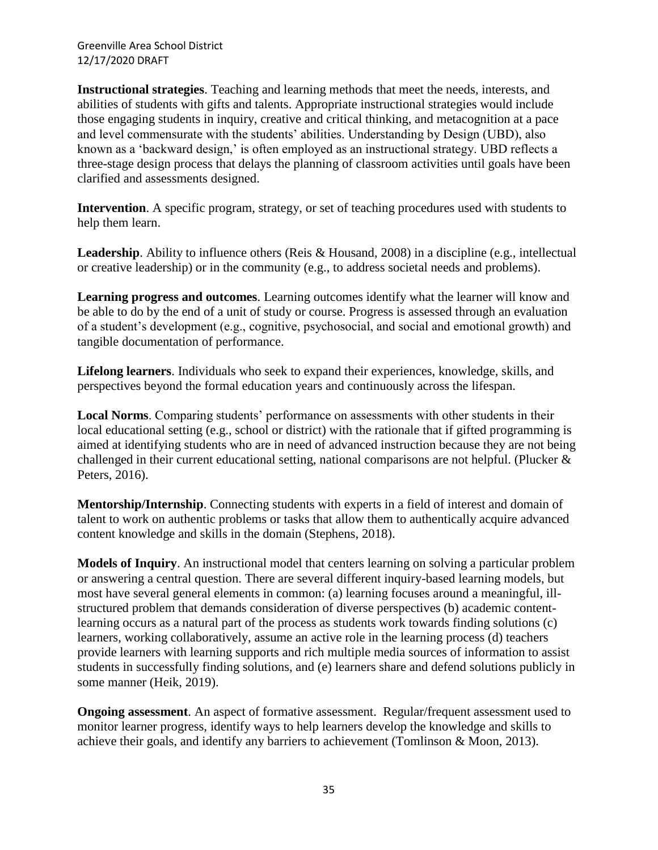**Instructional strategies**. Teaching and learning methods that meet the needs, interests, and abilities of students with gifts and talents. Appropriate instructional strategies would include those engaging students in inquiry, creative and critical thinking, and metacognition at a pace and level commensurate with the students' abilities. Understanding by Design (UBD), also known as a 'backward design,' is often employed as an instructional strategy. UBD reflects a three-stage design process that delays the planning of classroom activities until goals have been clarified and assessments designed.

**Intervention**. A specific program, strategy, or set of teaching procedures used with students to help them learn.

**Leadership**. Ability to influence others (Reis & Housand, 2008) in a discipline (e.g., intellectual or creative leadership) or in the community (e.g., to address societal needs and problems).

**Learning progress and outcomes**. Learning outcomes identify what the learner will know and be able to do by the end of a unit of study or course. Progress is assessed through an evaluation of a student's development (e.g., cognitive, psychosocial, and social and emotional growth) and tangible documentation of performance.

**Lifelong learners**. Individuals who seek to expand their experiences, knowledge, skills, and perspectives beyond the formal education years and continuously across the lifespan.

**Local Norms**. Comparing students' performance on assessments with other students in their local educational setting (e.g., school or district) with the rationale that if gifted programming is aimed at identifying students who are in need of advanced instruction because they are not being challenged in their current educational setting, national comparisons are not helpful. (Plucker & Peters, 2016).

**Mentorship/Internship**. Connecting students with experts in a field of interest and domain of talent to work on authentic problems or tasks that allow them to authentically acquire advanced content knowledge and skills in the domain (Stephens, 2018).

**Models of Inquiry**. An instructional model that centers learning on solving a particular problem or answering a central question. There are several different inquiry-based learning models, but most have several general elements in common: (a) learning focuses around a meaningful, illstructured problem that demands consideration of diverse perspectives (b) academic contentlearning occurs as a natural part of the process as students work towards finding solutions (c) learners, working collaboratively, assume an active role in the learning process (d) teachers provide learners with learning supports and rich multiple media sources of information to assist students in successfully finding solutions, and (e) learners share and defend solutions publicly in some manner (Heik, 2019).

**Ongoing assessment**. An aspect of formative assessment. Regular/frequent assessment used to monitor learner progress, identify ways to help learners develop the knowledge and skills to achieve their goals, and identify any barriers to achievement (Tomlinson & Moon, 2013).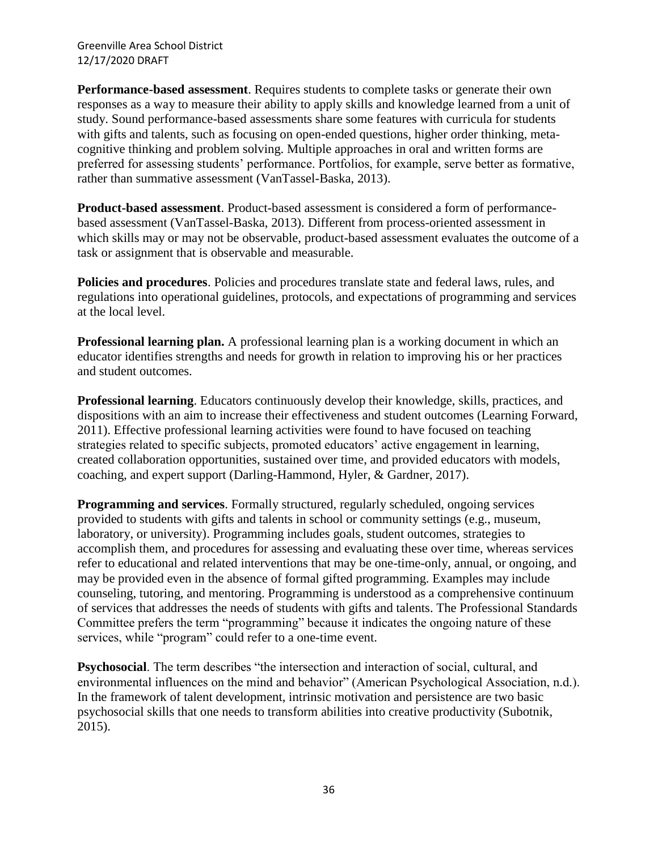**Performance-based assessment**. Requires students to complete tasks or generate their own responses as a way to measure their ability to apply skills and knowledge learned from a unit of study. Sound performance-based assessments share some features with curricula for students with gifts and talents, such as focusing on open-ended questions, higher order thinking, metacognitive thinking and problem solving. Multiple approaches in oral and written forms are preferred for assessing students' performance. Portfolios, for example, serve better as formative, rather than summative assessment (VanTassel-Baska, 2013).

**Product-based assessment**. Product-based assessment is considered a form of performancebased assessment (VanTassel-Baska, 2013). Different from process-oriented assessment in which skills may or may not be observable, product-based assessment evaluates the outcome of a task or assignment that is observable and measurable.

**Policies and procedures**. Policies and procedures translate state and federal laws, rules, and regulations into operational guidelines, protocols, and expectations of programming and services at the local level.

**Professional learning plan.** A professional learning plan is a working document in which an educator identifies strengths and needs for growth in relation to improving his or her practices and student outcomes.

**Professional learning**. Educators continuously develop their knowledge, skills, practices, and dispositions with an aim to increase their effectiveness and student outcomes (Learning Forward, 2011). Effective professional learning activities were found to have focused on teaching strategies related to specific subjects, promoted educators' active engagement in learning, created collaboration opportunities, sustained over time, and provided educators with models, coaching, and expert support (Darling-Hammond, Hyler, & Gardner, 2017).

**Programming and services**. Formally structured, regularly scheduled, ongoing services provided to students with gifts and talents in school or community settings (e.g., museum, laboratory, or university). Programming includes goals, student outcomes, strategies to accomplish them, and procedures for assessing and evaluating these over time, whereas services refer to educational and related interventions that may be one-time-only, annual, or ongoing, and may be provided even in the absence of formal gifted programming. Examples may include counseling, tutoring, and mentoring. Programming is understood as a comprehensive continuum of services that addresses the needs of students with gifts and talents. The Professional Standards Committee prefers the term "programming" because it indicates the ongoing nature of these services, while "program" could refer to a one-time event.

**Psychosocial**. The term describes "the intersection and interaction of social, cultural, and environmental influences on the mind and behavior" (American Psychological Association, n.d.). In the framework of talent development, intrinsic motivation and persistence are two basic psychosocial skills that one needs to transform abilities into creative productivity (Subotnik, 2015).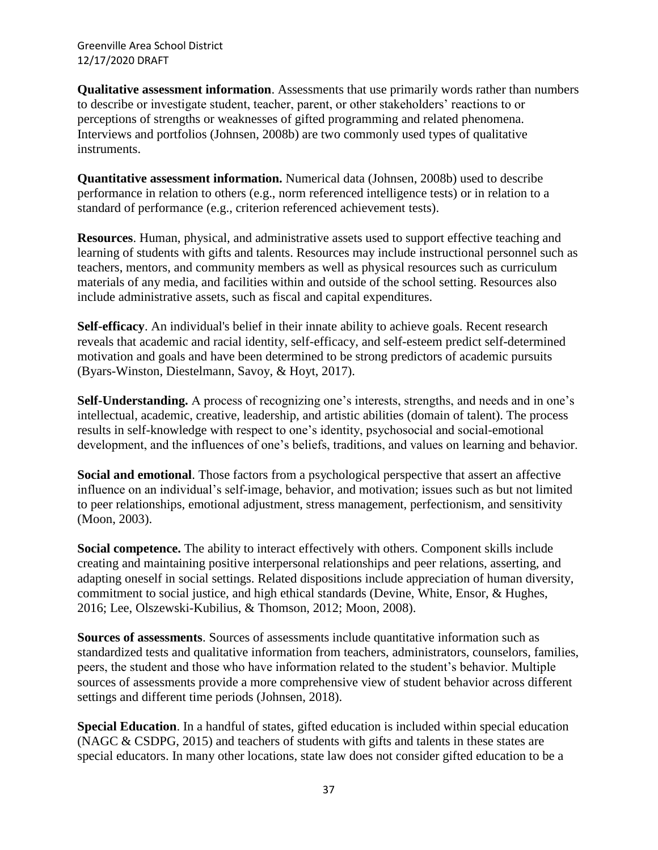**Qualitative assessment information**. Assessments that use primarily words rather than numbers to describe or investigate student, teacher, parent, or other stakeholders' reactions to or perceptions of strengths or weaknesses of gifted programming and related phenomena. Interviews and portfolios (Johnsen, 2008b) are two commonly used types of qualitative instruments.

**Quantitative assessment information.** Numerical data (Johnsen, 2008b) used to describe performance in relation to others (e.g., norm referenced intelligence tests) or in relation to a standard of performance (e.g., criterion referenced achievement tests).

**Resources**. Human, physical, and administrative assets used to support effective teaching and learning of students with gifts and talents. Resources may include instructional personnel such as teachers, mentors, and community members as well as physical resources such as curriculum materials of any media, and facilities within and outside of the school setting. Resources also include administrative assets, such as fiscal and capital expenditures.

**Self-efficacy**. An individual's belief in their innate ability to achieve goals. Recent research reveals that academic and racial identity, self-efficacy, and self-esteem predict self-determined motivation and goals and have been determined to be strong predictors of academic pursuits (Byars-Winston, Diestelmann, Savoy, & Hoyt, 2017).

**Self-Understanding.** A process of recognizing one's interests, strengths, and needs and in one's intellectual, academic, creative, leadership, and artistic abilities (domain of talent). The process results in self-knowledge with respect to one's identity, psychosocial and social-emotional development, and the influences of one's beliefs, traditions, and values on learning and behavior.

**Social and emotional**. Those factors from a psychological perspective that assert an affective influence on an individual's self-image, behavior, and motivation; issues such as but not limited to peer relationships, emotional adjustment, stress management, perfectionism, and sensitivity (Moon, 2003).

**Social competence.** The ability to interact effectively with others. Component skills include creating and maintaining positive interpersonal relationships and peer relations, asserting, and adapting oneself in social settings. Related dispositions include appreciation of human diversity, commitment to social justice, and high ethical standards (Devine, White, Ensor, & Hughes, 2016; Lee, Olszewski-Kubilius, & Thomson, 2012; Moon, 2008).

**Sources of assessments**. Sources of assessments include quantitative information such as standardized tests and qualitative information from teachers, administrators, counselors, families, peers, the student and those who have information related to the student's behavior. Multiple sources of assessments provide a more comprehensive view of student behavior across different settings and different time periods (Johnsen, 2018).

**Special Education**. In a handful of states, gifted education is included within special education (NAGC & CSDPG, 2015) and teachers of students with gifts and talents in these states are special educators. In many other locations, state law does not consider gifted education to be a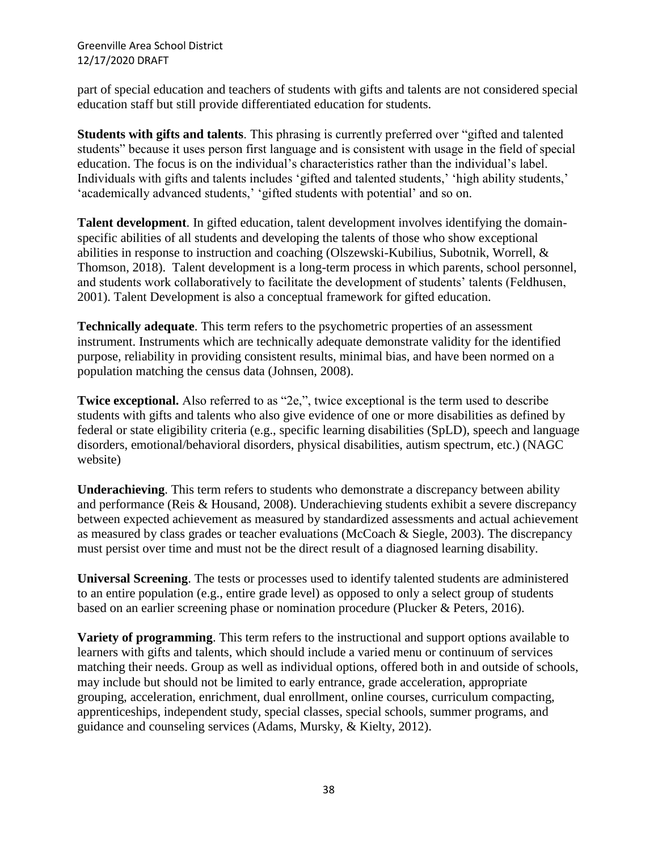part of special education and teachers of students with gifts and talents are not considered special education staff but still provide differentiated education for students.

**Students with gifts and talents**. This phrasing is currently preferred over "gifted and talented students" because it uses person first language and is consistent with usage in the field of special education. The focus is on the individual's characteristics rather than the individual's label. Individuals with gifts and talents includes 'gifted and talented students,' 'high ability students,' 'academically advanced students,' 'gifted students with potential' and so on.

**Talent development**. In gifted education, talent development involves identifying the domainspecific abilities of all students and developing the talents of those who show exceptional abilities in response to instruction and coaching (Olszewski-Kubilius, Subotnik, Worrell, & Thomson, 2018). Talent development is a long-term process in which parents, school personnel, and students work collaboratively to facilitate the development of students' talents (Feldhusen, 2001). Talent Development is also a conceptual framework for gifted education.

**Technically adequate**. This term refers to the psychometric properties of an assessment instrument. Instruments which are technically adequate demonstrate validity for the identified purpose, reliability in providing consistent results, minimal bias, and have been normed on a population matching the census data (Johnsen, 2008).

**Twice exceptional.** Also referred to as "2e,", twice exceptional is the term used to describe students with gifts and talents who also give evidence of one or more disabilities as defined by federal or state eligibility criteria (e.g., specific learning disabilities (SpLD), speech and language disorders, emotional/behavioral disorders, physical disabilities, autism spectrum, etc.) (NAGC website)

**Underachieving**. This term refers to students who demonstrate a discrepancy between ability and performance (Reis & Housand, 2008). Underachieving students exhibit a severe discrepancy between expected achievement as measured by standardized assessments and actual achievement as measured by class grades or teacher evaluations (McCoach & Siegle, 2003). The discrepancy must persist over time and must not be the direct result of a diagnosed learning disability.

**Universal Screening**. The tests or processes used to identify talented students are administered to an entire population (e.g., entire grade level) as opposed to only a select group of students based on an earlier screening phase or nomination procedure (Plucker & Peters, 2016).

**Variety of programming**. This term refers to the instructional and support options available to learners with gifts and talents, which should include a varied menu or continuum of services matching their needs. Group as well as individual options, offered both in and outside of schools, may include but should not be limited to early entrance, grade acceleration, appropriate grouping, acceleration, enrichment, dual enrollment, online courses, curriculum compacting, apprenticeships, independent study, special classes, special schools, summer programs, and guidance and counseling services (Adams, Mursky, & Kielty, 2012).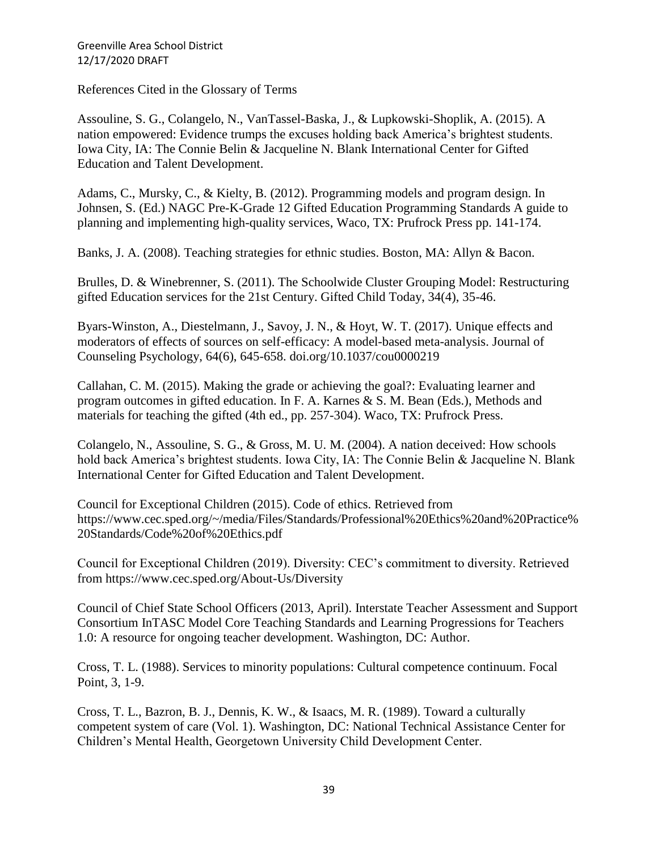References Cited in the Glossary of Terms

Assouline, S. G., Colangelo, N., VanTassel-Baska, J., & Lupkowski-Shoplik, A. (2015). A nation empowered: Evidence trumps the excuses holding back America's brightest students. Iowa City, IA: The Connie Belin & Jacqueline N. Blank International Center for Gifted Education and Talent Development.

Adams, C., Mursky, C., & Kielty, B. (2012). Programming models and program design. In Johnsen, S. (Ed.) NAGC Pre-K-Grade 12 Gifted Education Programming Standards A guide to planning and implementing high-quality services, Waco, TX: Prufrock Press pp. 141-174.

Banks, J. A. (2008). Teaching strategies for ethnic studies. Boston, MA: Allyn & Bacon.

Brulles, D. & Winebrenner, S. (2011). The Schoolwide Cluster Grouping Model: Restructuring gifted Education services for the 21st Century. Gifted Child Today, 34(4), 35-46.

Byars-Winston, A., Diestelmann, J., Savoy, J. N., & Hoyt, W. T. (2017). Unique effects and moderators of effects of sources on self-efficacy: A model-based meta-analysis. Journal of Counseling Psychology, 64(6), 645-658. doi.org/10.1037/cou0000219

Callahan, C. M. (2015). Making the grade or achieving the goal?: Evaluating learner and program outcomes in gifted education. In F. A. Karnes & S. M. Bean (Eds.), Methods and materials for teaching the gifted (4th ed., pp. 257-304). Waco, TX: Prufrock Press.

Colangelo, N., Assouline, S. G., & Gross, M. U. M. (2004). A nation deceived: How schools hold back America's brightest students. Iowa City, IA: The Connie Belin & Jacqueline N. Blank International Center for Gifted Education and Talent Development.

Council for Exceptional Children (2015). Code of ethics. Retrieved from https://www.cec.sped.org/~/media/Files/Standards/Professional%20Ethics%20and%20Practice% 20Standards/Code%20of%20Ethics.pdf

Council for Exceptional Children (2019). Diversity: CEC's commitment to diversity. Retrieved from https://www.cec.sped.org/About-Us/Diversity

Council of Chief State School Officers (2013, April). Interstate Teacher Assessment and Support Consortium InTASC Model Core Teaching Standards and Learning Progressions for Teachers 1.0: A resource for ongoing teacher development. Washington, DC: Author.

Cross, T. L. (1988). Services to minority populations: Cultural competence continuum. Focal Point, 3, 1-9.

Cross, T. L., Bazron, B. J., Dennis, K. W., & Isaacs, M. R. (1989). Toward a culturally competent system of care (Vol. 1). Washington, DC: National Technical Assistance Center for Children's Mental Health, Georgetown University Child Development Center.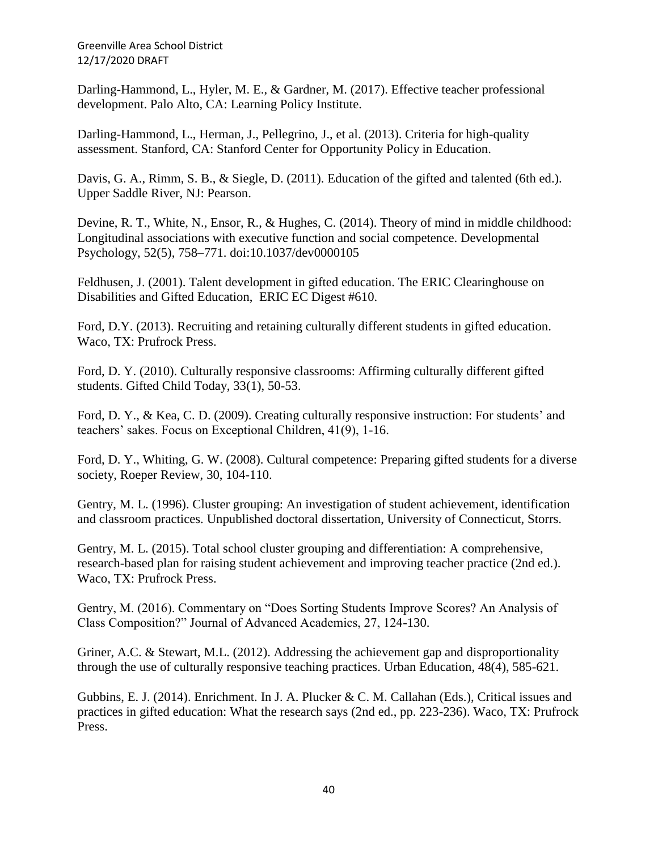Darling-Hammond, L., Hyler, M. E., & Gardner, M. (2017). Effective teacher professional development. Palo Alto, CA: Learning Policy Institute.

Darling-Hammond, L., Herman, J., Pellegrino, J., et al. (2013). Criteria for high-quality assessment. Stanford, CA: Stanford Center for Opportunity Policy in Education.

Davis, G. A., Rimm, S. B., & Siegle, D. (2011). Education of the gifted and talented (6th ed.). Upper Saddle River, NJ: Pearson.

Devine, R. T., White, N., Ensor, R., & Hughes, C. (2014). Theory of mind in middle childhood: Longitudinal associations with executive function and social competence. Developmental Psychology, 52(5), 758–771. doi:10.1037/dev0000105

Feldhusen, J. (2001). Talent development in gifted education. The ERIC Clearinghouse on Disabilities and Gifted Education, ERIC EC Digest #610.

Ford, D.Y. (2013). Recruiting and retaining culturally different students in gifted education. Waco, TX: Prufrock Press.

Ford, D. Y. (2010). Culturally responsive classrooms: Affirming culturally different gifted students. Gifted Child Today, 33(1), 50-53.

Ford, D. Y., & Kea, C. D. (2009). Creating culturally responsive instruction: For students' and teachers' sakes. Focus on Exceptional Children, 41(9), 1-16.

Ford, D. Y., Whiting, G. W. (2008). Cultural competence: Preparing gifted students for a diverse society, Roeper Review, 30, 104-110.

Gentry, M. L. (1996). Cluster grouping: An investigation of student achievement, identification and classroom practices. Unpublished doctoral dissertation, University of Connecticut, Storrs.

Gentry, M. L. (2015). Total school cluster grouping and differentiation: A comprehensive, research-based plan for raising student achievement and improving teacher practice (2nd ed.). Waco, TX: Prufrock Press.

Gentry, M. (2016). Commentary on "Does Sorting Students Improve Scores? An Analysis of Class Composition?" Journal of Advanced Academics, 27, 124-130.

Griner, A.C. & Stewart, M.L. (2012). Addressing the achievement gap and disproportionality through the use of culturally responsive teaching practices. Urban Education, 48(4), 585-621.

Gubbins, E. J. (2014). Enrichment. In J. A. Plucker & C. M. Callahan (Eds.), Critical issues and practices in gifted education: What the research says (2nd ed., pp. 223-236). Waco, TX: Prufrock Press.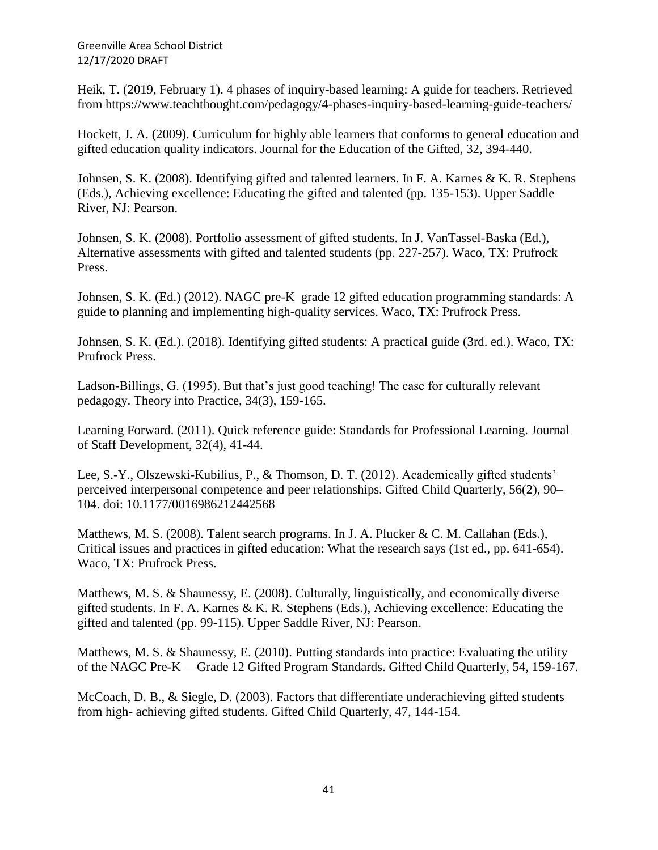Heik, T. (2019, February 1). 4 phases of inquiry-based learning: A guide for teachers. Retrieved from https://www.teachthought.com/pedagogy/4-phases-inquiry-based-learning-guide-teachers/

Hockett, J. A. (2009). Curriculum for highly able learners that conforms to general education and gifted education quality indicators. Journal for the Education of the Gifted, 32, 394-440.

Johnsen, S. K. (2008). Identifying gifted and talented learners. In F. A. Karnes & K. R. Stephens (Eds.), Achieving excellence: Educating the gifted and talented (pp. 135-153). Upper Saddle River, NJ: Pearson.

Johnsen, S. K. (2008). Portfolio assessment of gifted students. In J. VanTassel-Baska (Ed.), Alternative assessments with gifted and talented students (pp. 227-257). Waco, TX: Prufrock Press.

Johnsen, S. K. (Ed.) (2012). NAGC pre-K–grade 12 gifted education programming standards: A guide to planning and implementing high-quality services. Waco, TX: Prufrock Press.

Johnsen, S. K. (Ed.). (2018). Identifying gifted students: A practical guide (3rd. ed.). Waco, TX: Prufrock Press.

Ladson-Billings, G. (1995). But that's just good teaching! The case for culturally relevant pedagogy. Theory into Practice, 34(3), 159-165.

Learning Forward. (2011). Quick reference guide: Standards for Professional Learning. Journal of Staff Development, 32(4), 41-44.

Lee, S.-Y., Olszewski-Kubilius, P., & Thomson, D. T. (2012). Academically gifted students' perceived interpersonal competence and peer relationships. Gifted Child Quarterly, 56(2), 90– 104. doi: 10.1177/0016986212442568

Matthews, M. S. (2008). Talent search programs. In J. A. Plucker & C. M. Callahan (Eds.), Critical issues and practices in gifted education: What the research says (1st ed., pp. 641-654). Waco, TX: Prufrock Press.

Matthews, M. S. & Shaunessy, E. (2008). Culturally, linguistically, and economically diverse gifted students. In F. A. Karnes & K. R. Stephens (Eds.), Achieving excellence: Educating the gifted and talented (pp. 99-115). Upper Saddle River, NJ: Pearson.

Matthews, M. S. & Shaunessy, E. (2010). Putting standards into practice: Evaluating the utility of the NAGC Pre-K —Grade 12 Gifted Program Standards. Gifted Child Quarterly, 54, 159-167.

McCoach, D. B., & Siegle, D. (2003). Factors that differentiate underachieving gifted students from high- achieving gifted students. Gifted Child Quarterly, 47, 144-154.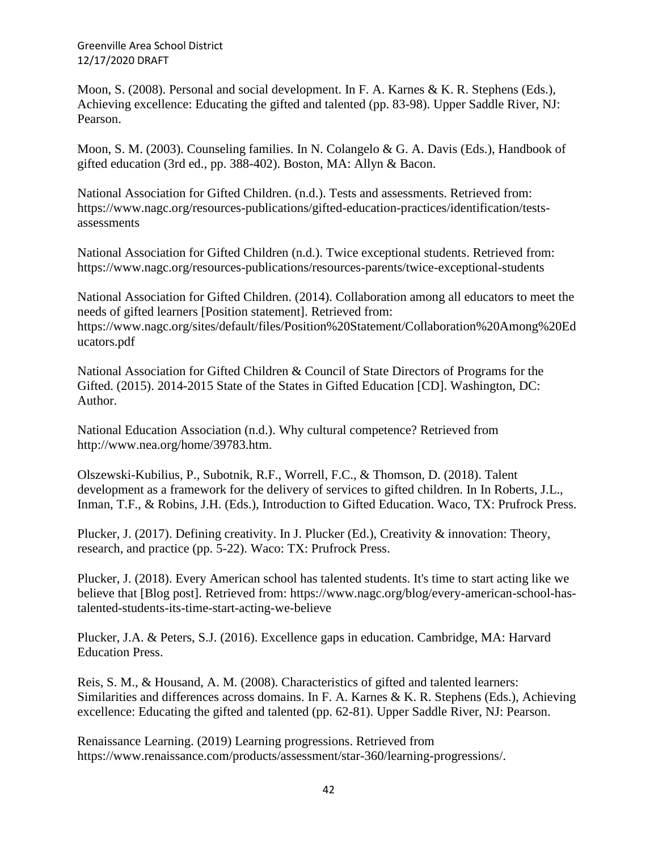Moon, S. (2008). Personal and social development. In F. A. Karnes & K. R. Stephens (Eds.), Achieving excellence: Educating the gifted and talented (pp. 83-98). Upper Saddle River, NJ: Pearson.

Moon, S. M. (2003). Counseling families. In N. Colangelo & G. A. Davis (Eds.), Handbook of gifted education (3rd ed., pp. 388-402). Boston, MA: Allyn & Bacon.

National Association for Gifted Children. (n.d.). Tests and assessments. Retrieved from: https://www.nagc.org/resources-publications/gifted-education-practices/identification/testsassessments

National Association for Gifted Children (n.d.). Twice exceptional students. Retrieved from: https://www.nagc.org/resources-publications/resources-parents/twice-exceptional-students

National Association for Gifted Children. (2014). Collaboration among all educators to meet the needs of gifted learners [Position statement]. Retrieved from: https://www.nagc.org/sites/default/files/Position%20Statement/Collaboration%20Among%20Ed ucators.pdf

National Association for Gifted Children & Council of State Directors of Programs for the Gifted. (2015). 2014-2015 State of the States in Gifted Education [CD]. Washington, DC: Author.

National Education Association (n.d.). Why cultural competence? Retrieved from http://www.nea.org/home/39783.htm.

Olszewski-Kubilius, P., Subotnik, R.F., Worrell, F.C., & Thomson, D. (2018). Talent development as a framework for the delivery of services to gifted children. In In Roberts, J.L., Inman, T.F., & Robins, J.H. (Eds.), Introduction to Gifted Education. Waco, TX: Prufrock Press.

Plucker, J. (2017). Defining creativity. In J. Plucker (Ed.), Creativity & innovation: Theory, research, and practice (pp. 5-22). Waco: TX: Prufrock Press.

Plucker, J. (2018). Every American school has talented students. It's time to start acting like we believe that [Blog post]. Retrieved from: https://www.nagc.org/blog/every-american-school-hastalented-students-its-time-start-acting-we-believe

Plucker, J.A. & Peters, S.J. (2016). Excellence gaps in education. Cambridge, MA: Harvard Education Press.

Reis, S. M., & Housand, A. M. (2008). Characteristics of gifted and talented learners: Similarities and differences across domains. In F. A. Karnes & K. R. Stephens (Eds.), Achieving excellence: Educating the gifted and talented (pp. 62-81). Upper Saddle River, NJ: Pearson.

Renaissance Learning. (2019) Learning progressions. Retrieved from https://www.renaissance.com/products/assessment/star-360/learning-progressions/.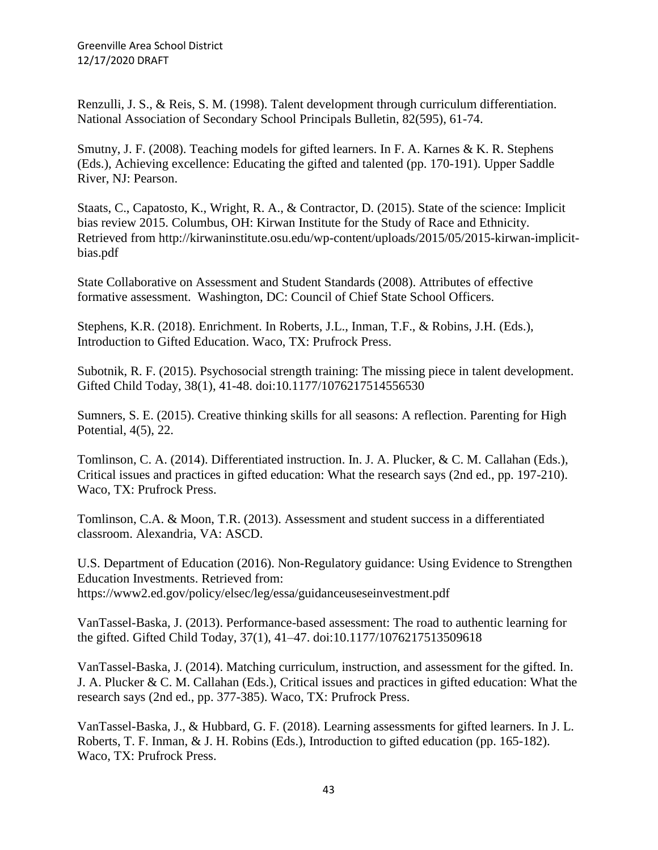Renzulli, J. S., & Reis, S. M. (1998). Talent development through curriculum differentiation. National Association of Secondary School Principals Bulletin, 82(595), 61-74.

Smutny, J. F. (2008). Teaching models for gifted learners. In F. A. Karnes & K. R. Stephens (Eds.), Achieving excellence: Educating the gifted and talented (pp. 170-191). Upper Saddle River, NJ: Pearson.

Staats, C., Capatosto, K., Wright, R. A., & Contractor, D. (2015). State of the science: Implicit bias review 2015. Columbus, OH: Kirwan Institute for the Study of Race and Ethnicity. Retrieved from http://kirwaninstitute.osu.edu/wp-content/uploads/2015/05/2015-kirwan-implicitbias.pdf

State Collaborative on Assessment and Student Standards (2008). Attributes of effective formative assessment. Washington, DC: Council of Chief State School Officers.

Stephens, K.R. (2018). Enrichment. In Roberts, J.L., Inman, T.F., & Robins, J.H. (Eds.), Introduction to Gifted Education. Waco, TX: Prufrock Press.

Subotnik, R. F. (2015). Psychosocial strength training: The missing piece in talent development. Gifted Child Today, 38(1), 41-48. doi:10.1177/1076217514556530

Sumners, S. E. (2015). Creative thinking skills for all seasons: A reflection. Parenting for High Potential, 4(5), 22.

Tomlinson, C. A. (2014). Differentiated instruction. In. J. A. Plucker, & C. M. Callahan (Eds.), Critical issues and practices in gifted education: What the research says (2nd ed., pp. 197-210). Waco, TX: Prufrock Press.

Tomlinson, C.A. & Moon, T.R. (2013). Assessment and student success in a differentiated classroom. Alexandria, VA: ASCD.

U.S. Department of Education (2016). Non-Regulatory guidance: Using Evidence to Strengthen Education Investments. Retrieved from: https://www2.ed.gov/policy/elsec/leg/essa/guidanceuseseinvestment.pdf

VanTassel-Baska, J. (2013). Performance-based assessment: The road to authentic learning for the gifted. Gifted Child Today, 37(1), 41–47. doi:10.1177/1076217513509618

VanTassel-Baska, J. (2014). Matching curriculum, instruction, and assessment for the gifted. In. J. A. Plucker & C. M. Callahan (Eds.), Critical issues and practices in gifted education: What the research says (2nd ed., pp. 377-385). Waco, TX: Prufrock Press.

VanTassel-Baska, J., & Hubbard, G. F. (2018). Learning assessments for gifted learners. In J. L. Roberts, T. F. Inman, & J. H. Robins (Eds.), Introduction to gifted education (pp. 165-182). Waco, TX: Prufrock Press.